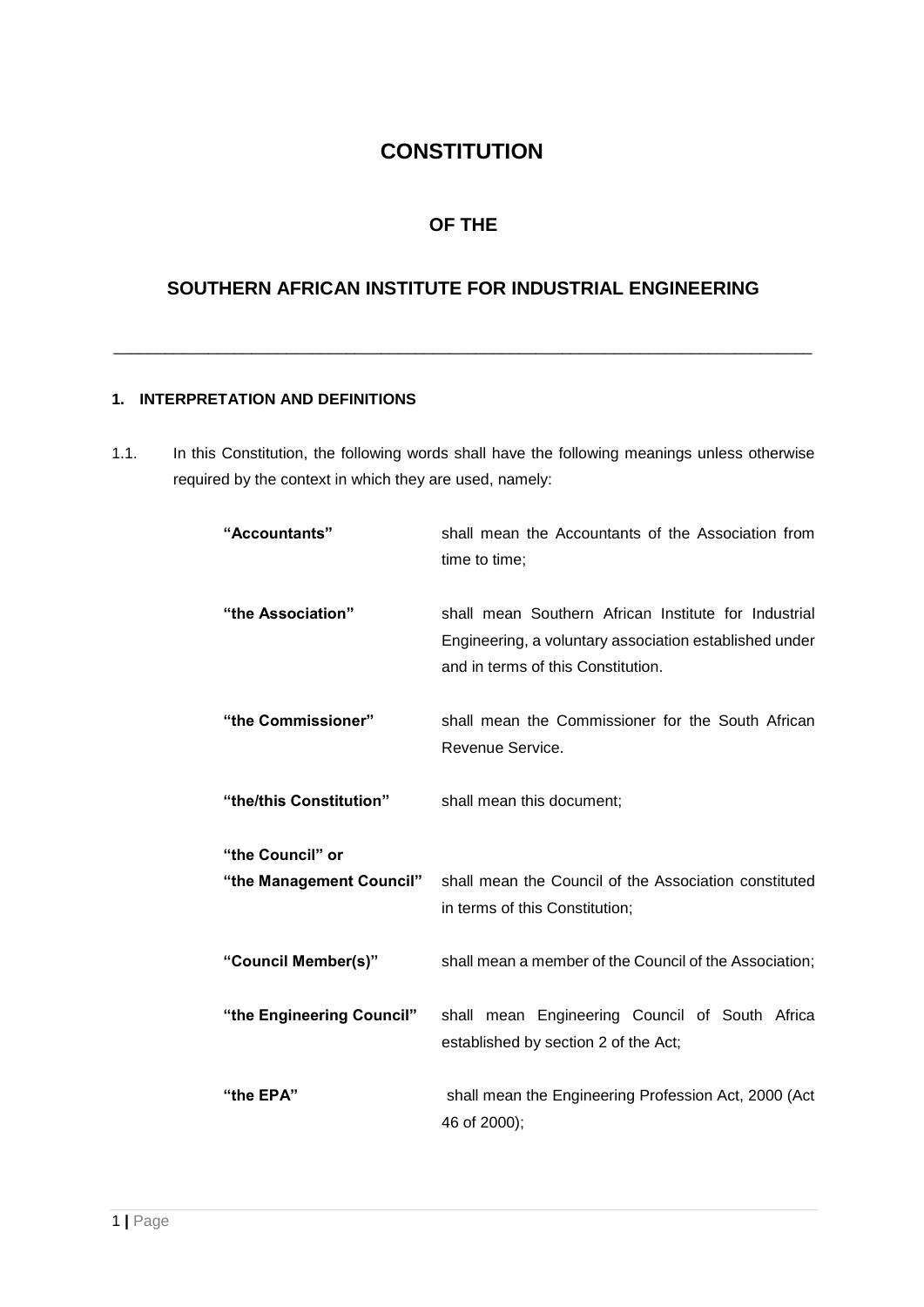# **CONSTITUTION**

## **OF THE**

## **SOUTHERN AFRICAN INSTITUTE FOR INDUSTRIAL ENGINEERING**

\_\_\_\_\_\_\_\_\_\_\_\_\_\_\_\_\_\_\_\_\_\_\_\_\_\_\_\_\_\_\_\_\_\_\_\_\_\_\_\_\_\_\_\_\_\_\_\_\_\_\_\_\_\_\_\_\_\_\_\_\_\_\_\_\_\_\_\_\_\_\_\_\_\_\_\_\_\_\_\_\_

## **1. INTERPRETATION AND DEFINITIONS**

1.1. In this Constitution, the following words shall have the following meanings unless otherwise required by the context in which they are used, namely:

| "Accountants"             | shall mean the Accountants of the Association from<br>time to time;                                                                                  |
|---------------------------|------------------------------------------------------------------------------------------------------------------------------------------------------|
| "the Association"         | shall mean Southern African Institute for Industrial<br>Engineering, a voluntary association established under<br>and in terms of this Constitution. |
| "the Commissioner"        | shall mean the Commissioner for the South African<br>Revenue Service.                                                                                |
| "the/this Constitution"   | shall mean this document;                                                                                                                            |
| "the Council" or          |                                                                                                                                                      |
|                           | "the Management Council" shall mean the Council of the Association constituted<br>in terms of this Constitution;                                     |
| "Council Member(s)"       | shall mean a member of the Council of the Association;                                                                                               |
| "the Engineering Council" | shall mean Engineering Council of South Africa<br>established by section 2 of the Act;                                                               |
| "the EPA"                 | shall mean the Engineering Profession Act, 2000 (Act<br>46 of 2000);                                                                                 |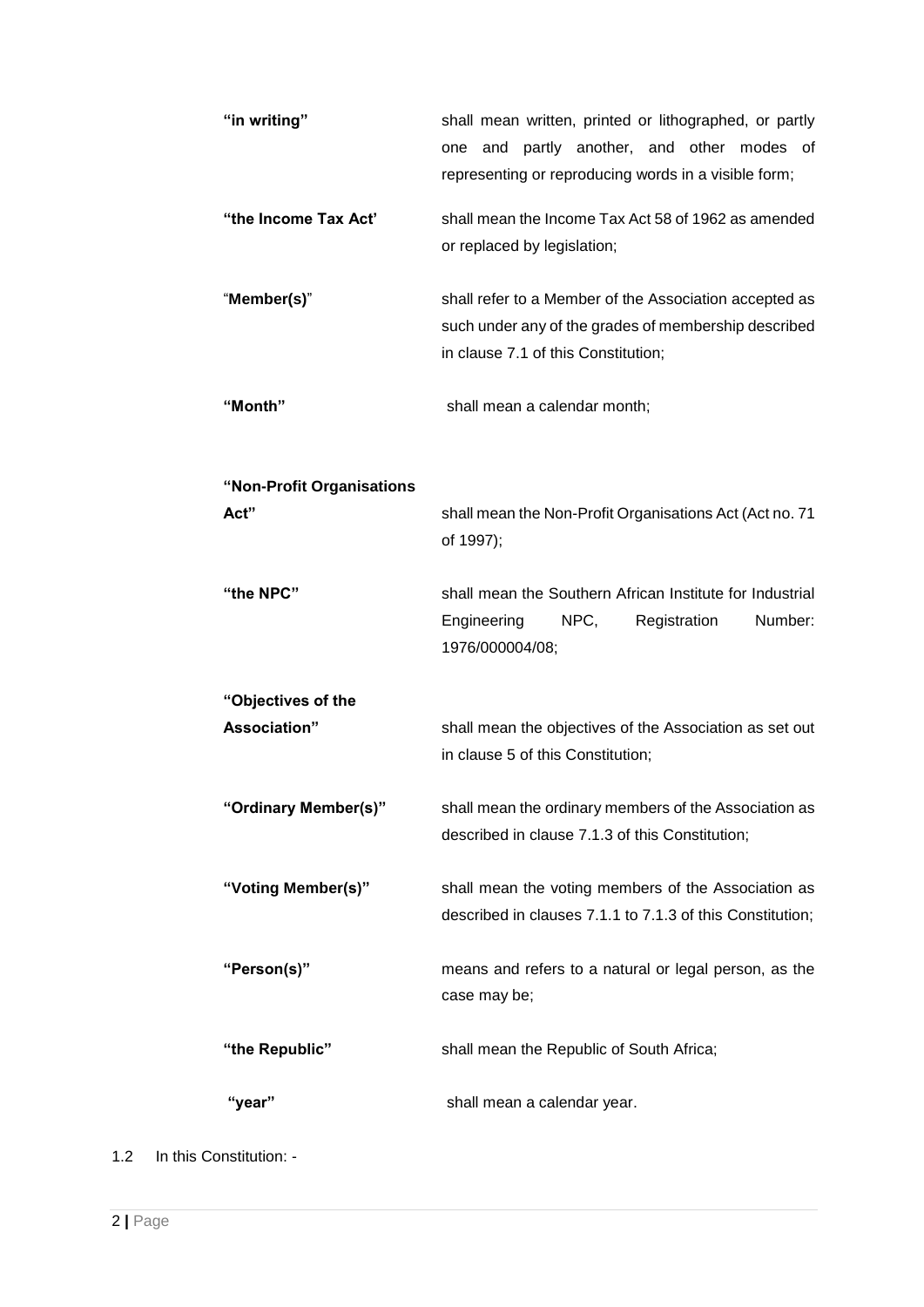| "in writing"              | shall mean written, printed or lithographed, or partly<br>one and partly another, and other modes of<br>representing or reproducing words in a visible form; |
|---------------------------|--------------------------------------------------------------------------------------------------------------------------------------------------------------|
| "the Income Tax Act"      | shall mean the Income Tax Act 58 of 1962 as amended<br>or replaced by legislation;                                                                           |
| "Member(s)"               | shall refer to a Member of the Association accepted as<br>such under any of the grades of membership described<br>in clause 7.1 of this Constitution;        |
| "Month"                   | shall mean a calendar month;                                                                                                                                 |
| "Non-Profit Organisations |                                                                                                                                                              |
| Act"                      | shall mean the Non-Profit Organisations Act (Act no. 71<br>of 1997);                                                                                         |
| "the NPC"                 | shall mean the Southern African Institute for Industrial<br>NPC,<br>Engineering<br>Registration<br>Number:<br>1976/000004/08;                                |
| "Objectives of the        |                                                                                                                                                              |
| Association"              | shall mean the objectives of the Association as set out<br>in clause 5 of this Constitution;                                                                 |
| "Ordinary Member(s)"      | shall mean the ordinary members of the Association as<br>described in clause 7.1.3 of this Constitution;                                                     |
| "Voting Member(s)"        | shall mean the voting members of the Association as<br>described in clauses 7.1.1 to 7.1.3 of this Constitution;                                             |
| "Person(s)"               | means and refers to a natural or legal person, as the<br>case may be;                                                                                        |
| "the Republic"            | shall mean the Republic of South Africa;                                                                                                                     |
| "year"                    | shall mean a calendar year.                                                                                                                                  |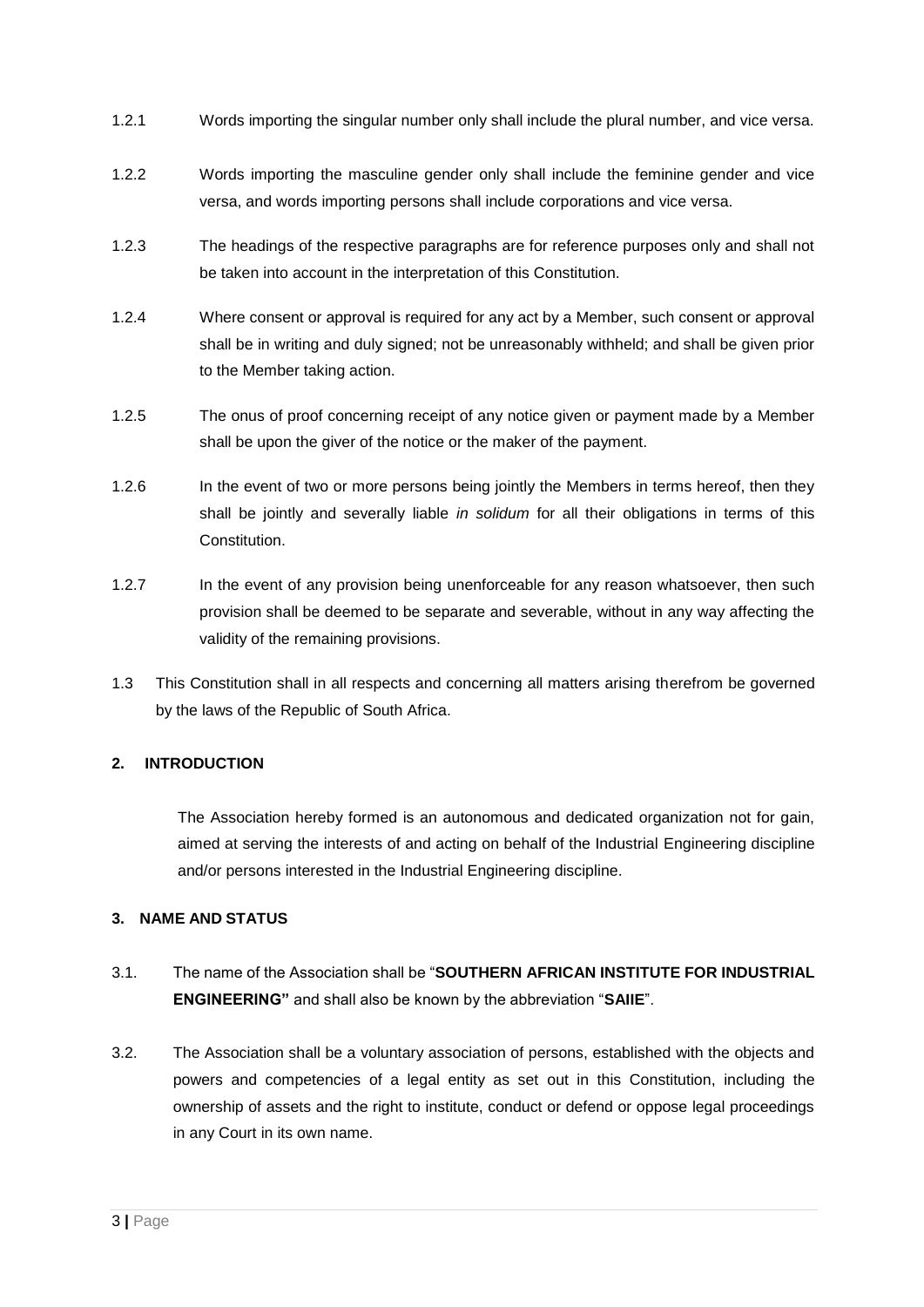- 1.2.1 Words importing the singular number only shall include the plural number, and vice versa.
- 1.2.2 Words importing the masculine gender only shall include the feminine gender and vice versa, and words importing persons shall include corporations and vice versa.
- 1.2.3 The headings of the respective paragraphs are for reference purposes only and shall not be taken into account in the interpretation of this Constitution.
- 1.2.4 Where consent or approval is required for any act by a Member, such consent or approval shall be in writing and duly signed; not be unreasonably withheld; and shall be given prior to the Member taking action.
- 1.2.5 The onus of proof concerning receipt of any notice given or payment made by a Member shall be upon the giver of the notice or the maker of the payment.
- 1.2.6 In the event of two or more persons being jointly the Members in terms hereof, then they shall be jointly and severally liable *in solidum* for all their obligations in terms of this **Constitution**
- 1.2.7 In the event of any provision being unenforceable for any reason whatsoever, then such provision shall be deemed to be separate and severable, without in any way affecting the validity of the remaining provisions.
- 1.3 This Constitution shall in all respects and concerning all matters arising therefrom be governed by the laws of the Republic of South Africa.

## **2. INTRODUCTION**

The Association hereby formed is an autonomous and dedicated organization not for gain, aimed at serving the interests of and acting on behalf of the Industrial Engineering discipline and/or persons interested in the Industrial Engineering discipline.

## **3. NAME AND STATUS**

- 3.1. The name of the Association shall be "**SOUTHERN AFRICAN INSTITUTE FOR INDUSTRIAL ENGINEERING"** and shall also be known by the abbreviation "**SAIIE**".
- 3.2. The Association shall be a voluntary association of persons, established with the objects and powers and competencies of a legal entity as set out in this Constitution, including the ownership of assets and the right to institute, conduct or defend or oppose legal proceedings in any Court in its own name.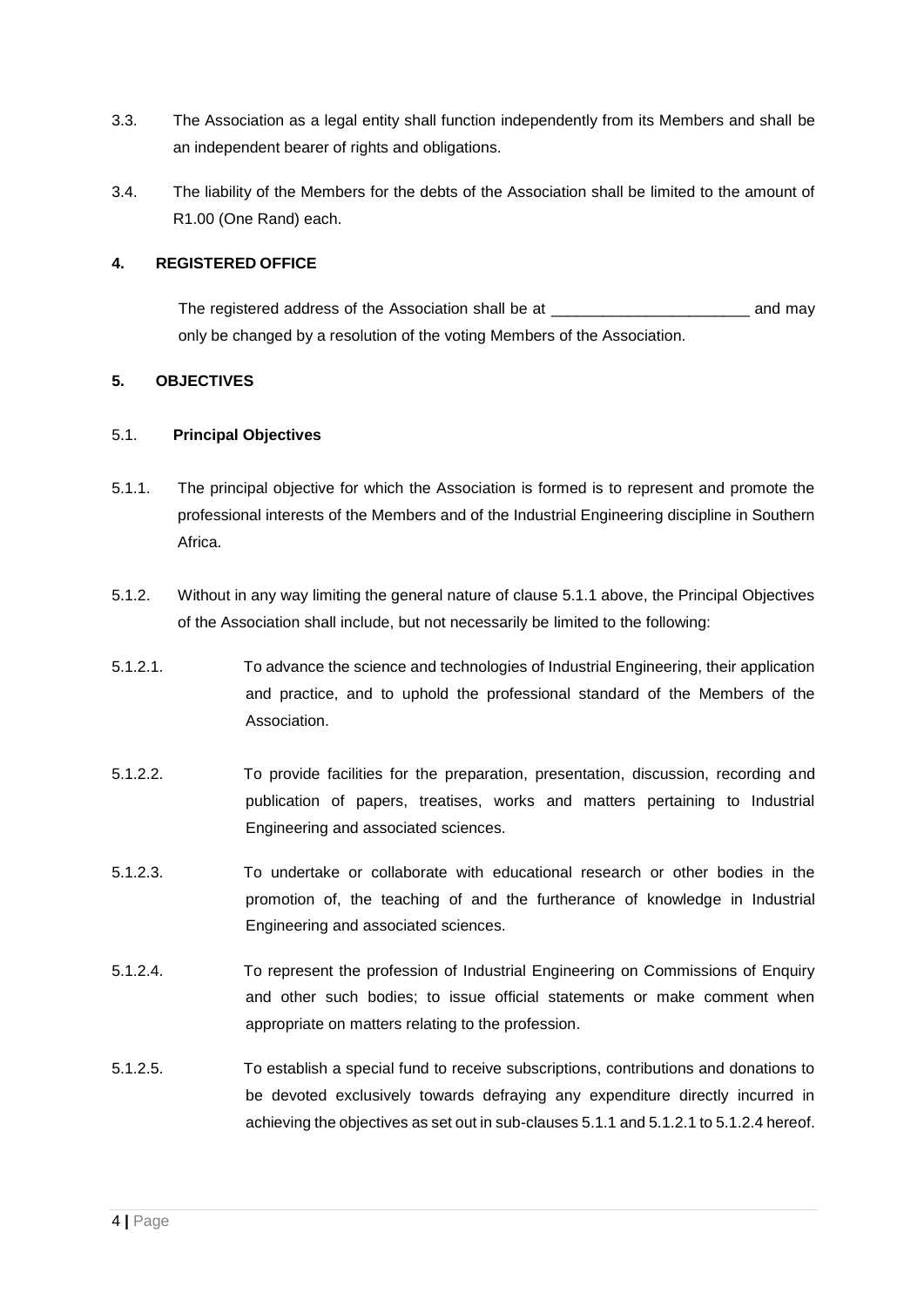- 3.3. The Association as a legal entity shall function independently from its Members and shall be an independent bearer of rights and obligations.
- 3.4. The liability of the Members for the debts of the Association shall be limited to the amount of R1.00 (One Rand) each.

#### **4. REGISTERED OFFICE**

The registered address of the Association shall be at \_\_\_\_\_\_\_\_\_\_\_\_\_\_\_\_\_\_\_\_\_\_\_\_\_\_\_ and may only be changed by a resolution of the voting Members of the Association.

#### **5. OBJECTIVES**

#### 5.1. **Principal Objectives**

- 5.1.1. The principal objective for which the Association is formed is to represent and promote the professional interests of the Members and of the Industrial Engineering discipline in Southern Africa.
- 5.1.2. Without in any way limiting the general nature of clause 5.1.1 above, the Principal Objectives of the Association shall include, but not necessarily be limited to the following:
- 5.1.2.1. To advance the science and technologies of Industrial Engineering, their application and practice, and to uphold the professional standard of the Members of the Association.
- 5.1.2.2. To provide facilities for the preparation, presentation, discussion, recording and publication of papers, treatises, works and matters pertaining to Industrial Engineering and associated sciences.
- 5.1.2.3. To undertake or collaborate with educational research or other bodies in the promotion of, the teaching of and the furtherance of knowledge in Industrial Engineering and associated sciences.
- 5.1.2.4. To represent the profession of Industrial Engineering on Commissions of Enquiry and other such bodies; to issue official statements or make comment when appropriate on matters relating to the profession.
- 5.1.2.5. To establish a special fund to receive subscriptions, contributions and donations to be devoted exclusively towards defraying any expenditure directly incurred in achieving the objectives as set out in sub-clauses 5.1.1 and 5.1.2.1 to 5.1.2.4 hereof.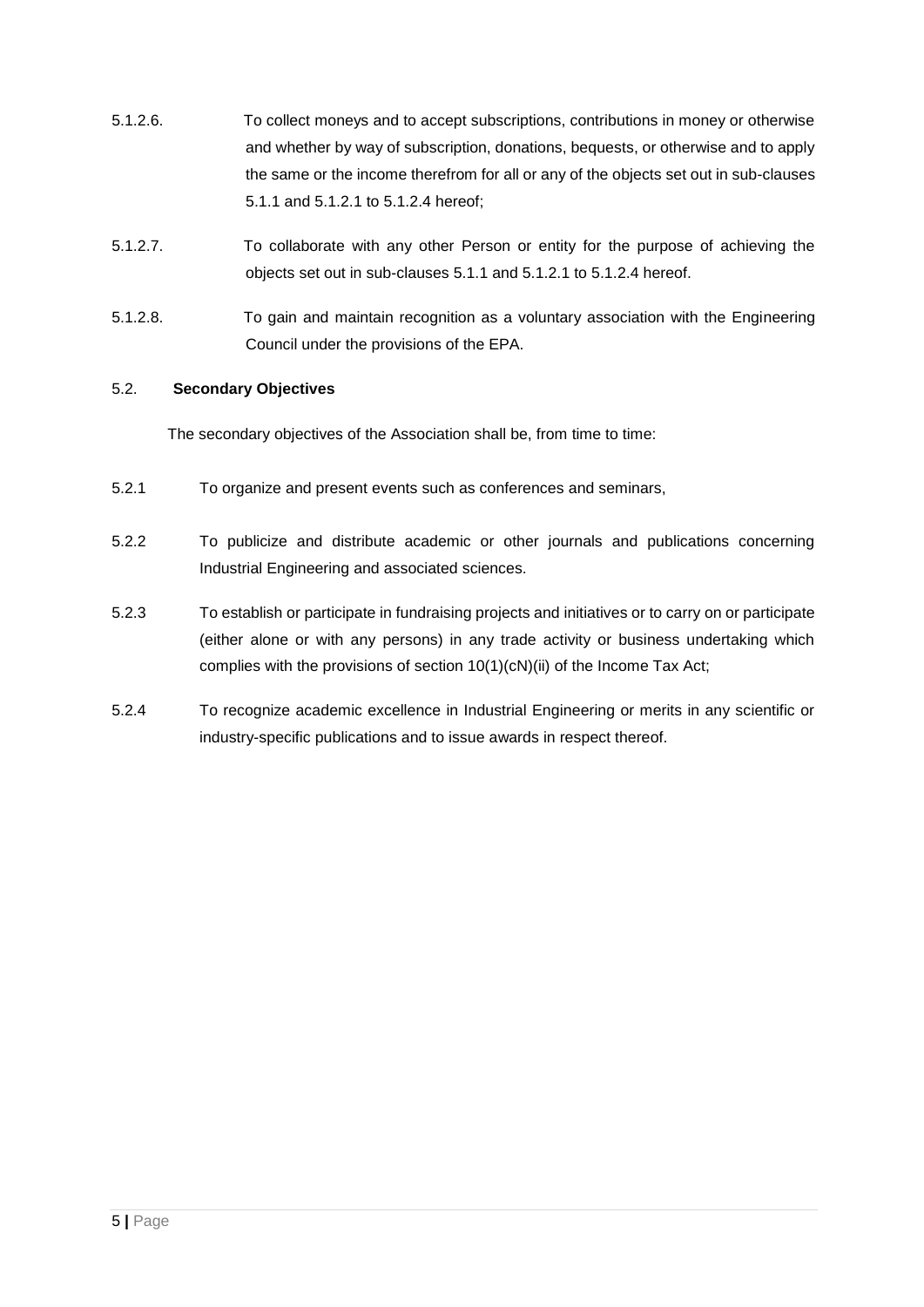- 5.1.2.6. To collect moneys and to accept subscriptions, contributions in money or otherwise and whether by way of subscription, donations, bequests, or otherwise and to apply the same or the income therefrom for all or any of the objects set out in sub-clauses 5.1.1 and 5.1.2.1 to 5.1.2.4 hereof;
- 5.1.2.7. To collaborate with any other Person or entity for the purpose of achieving the objects set out in sub-clauses 5.1.1 and 5.1.2.1 to 5.1.2.4 hereof.
- 5.1.2.8. To gain and maintain recognition as a voluntary association with the Engineering Council under the provisions of the EPA.

## 5.2. **Secondary Objectives**

The secondary objectives of the Association shall be, from time to time:

- 5.2.1 To organize and present events such as conferences and seminars,
- 5.2.2 To publicize and distribute academic or other journals and publications concerning Industrial Engineering and associated sciences.
- 5.2.3 To establish or participate in fundraising projects and initiatives or to carry on or participate (either alone or with any persons) in any trade activity or business undertaking which complies with the provisions of section 10(1)(cN)(ii) of the Income Tax Act;
- 5.2.4 To recognize academic excellence in Industrial Engineering or merits in any scientific or industry-specific publications and to issue awards in respect thereof.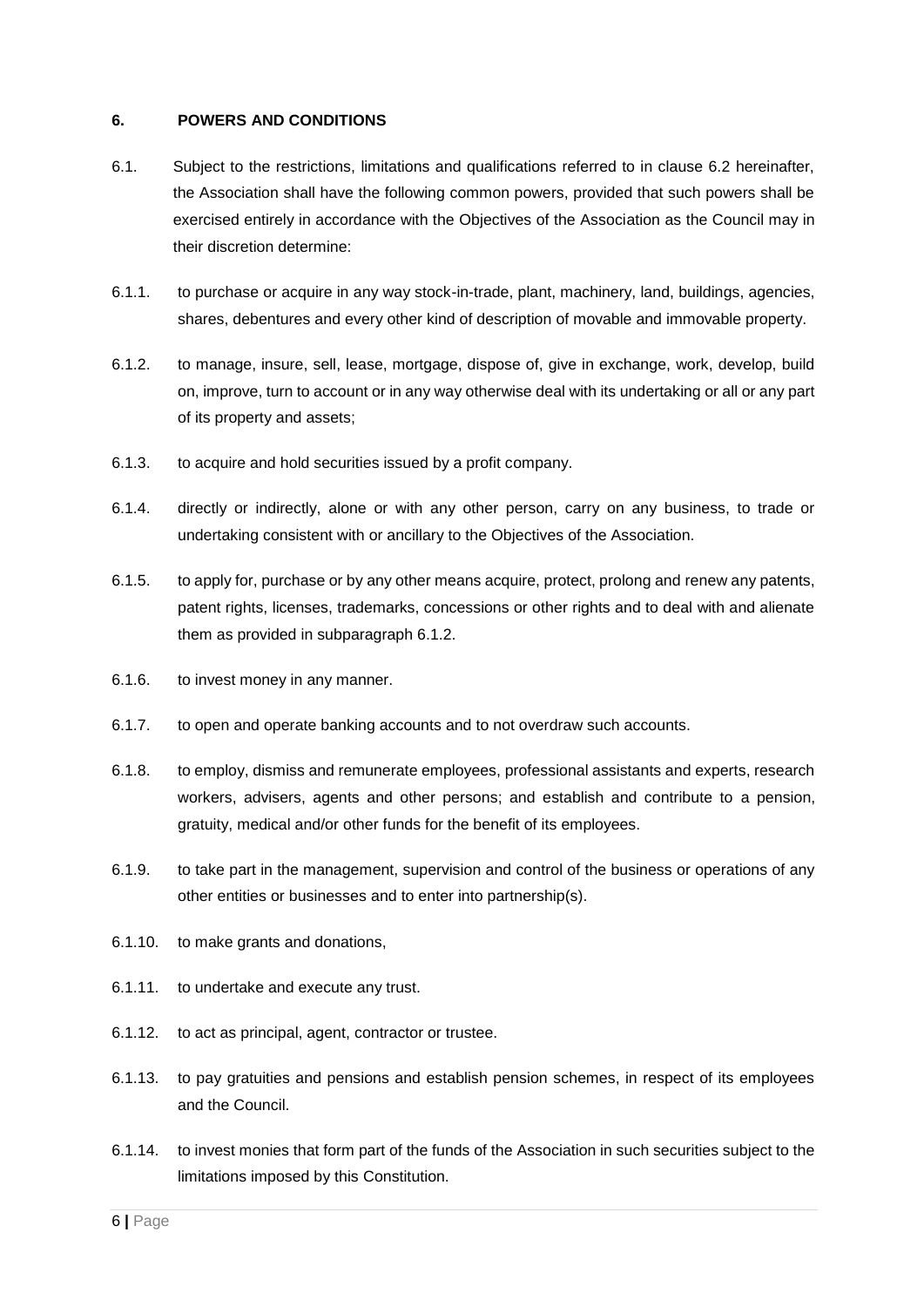#### **6. POWERS AND CONDITIONS**

- 6.1. Subject to the restrictions, limitations and qualifications referred to in clause 6.2 hereinafter, the Association shall have the following common powers, provided that such powers shall be exercised entirely in accordance with the Objectives of the Association as the Council may in their discretion determine:
- 6.1.1. to purchase or acquire in any way stock-in-trade, plant, machinery, land, buildings, agencies, shares, debentures and every other kind of description of movable and immovable property.
- 6.1.2. to manage, insure, sell, lease, mortgage, dispose of, give in exchange, work, develop, build on, improve, turn to account or in any way otherwise deal with its undertaking or all or any part of its property and assets;
- 6.1.3. to acquire and hold securities issued by a profit company.
- 6.1.4. directly or indirectly, alone or with any other person, carry on any business, to trade or undertaking consistent with or ancillary to the Objectives of the Association.
- 6.1.5. to apply for, purchase or by any other means acquire, protect, prolong and renew any patents, patent rights, licenses, trademarks, concessions or other rights and to deal with and alienate them as provided in subparagraph 6.1.2.
- 6.1.6. to invest money in any manner.
- 6.1.7. to open and operate banking accounts and to not overdraw such accounts.
- 6.1.8. to employ, dismiss and remunerate employees, professional assistants and experts, research workers, advisers, agents and other persons; and establish and contribute to a pension, gratuity, medical and/or other funds for the benefit of its employees.
- 6.1.9. to take part in the management, supervision and control of the business or operations of any other entities or businesses and to enter into partnership(s).
- 6.1.10. to make grants and donations,
- 6.1.11. to undertake and execute any trust.
- 6.1.12. to act as principal, agent, contractor or trustee.
- 6.1.13. to pay gratuities and pensions and establish pension schemes, in respect of its employees and the Council.
- 6.1.14. to invest monies that form part of the funds of the Association in such securities subject to the limitations imposed by this Constitution.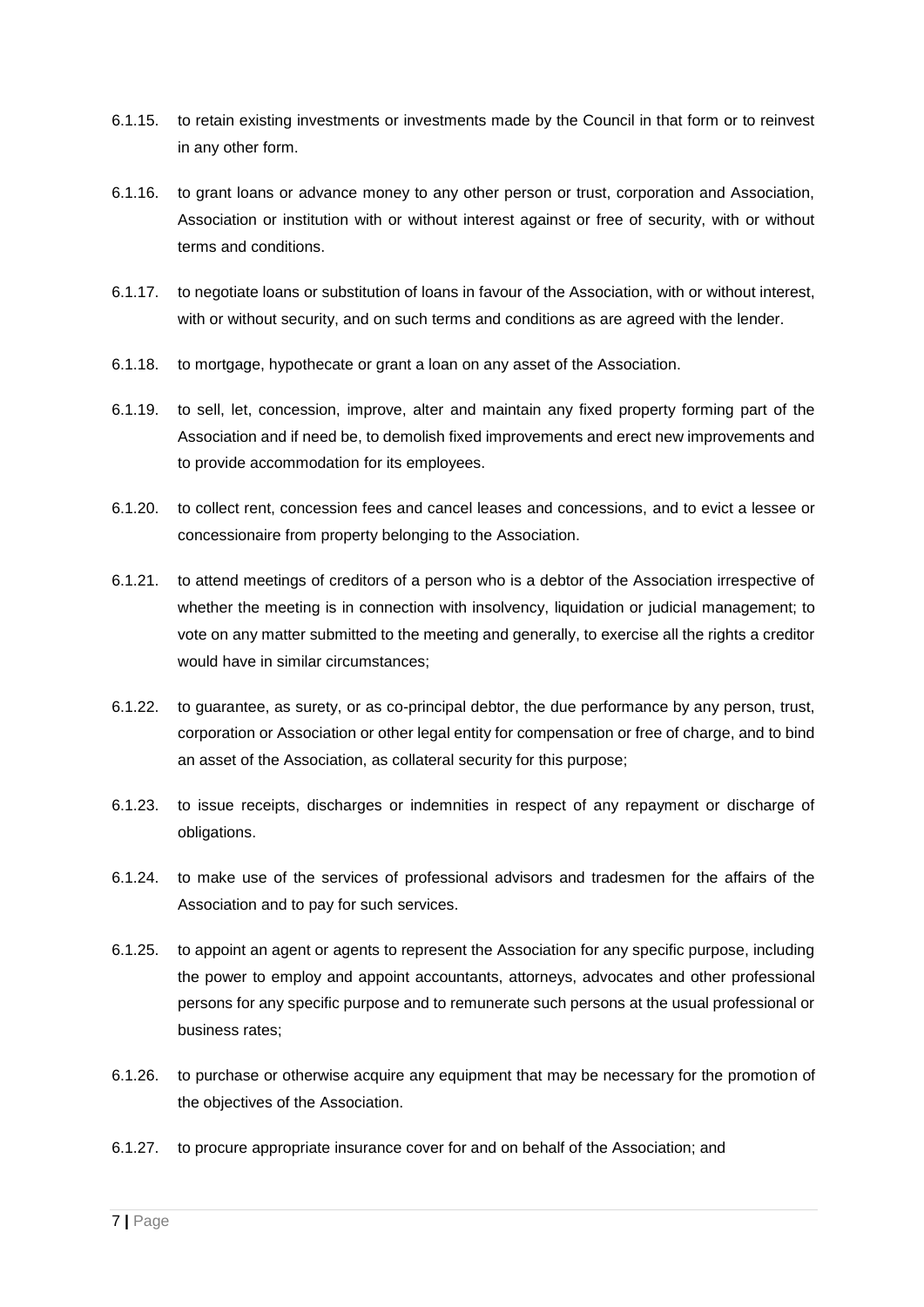- 6.1.15. to retain existing investments or investments made by the Council in that form or to reinvest in any other form.
- 6.1.16. to grant loans or advance money to any other person or trust, corporation and Association, Association or institution with or without interest against or free of security, with or without terms and conditions.
- 6.1.17. to negotiate loans or substitution of loans in favour of the Association, with or without interest, with or without security, and on such terms and conditions as are agreed with the lender.
- 6.1.18. to mortgage, hypothecate or grant a loan on any asset of the Association.
- 6.1.19. to sell, let, concession, improve, alter and maintain any fixed property forming part of the Association and if need be, to demolish fixed improvements and erect new improvements and to provide accommodation for its employees.
- 6.1.20. to collect rent, concession fees and cancel leases and concessions, and to evict a lessee or concessionaire from property belonging to the Association.
- 6.1.21. to attend meetings of creditors of a person who is a debtor of the Association irrespective of whether the meeting is in connection with insolvency, liquidation or judicial management; to vote on any matter submitted to the meeting and generally, to exercise all the rights a creditor would have in similar circumstances;
- 6.1.22. to guarantee, as surety, or as co-principal debtor, the due performance by any person, trust, corporation or Association or other legal entity for compensation or free of charge, and to bind an asset of the Association, as collateral security for this purpose;
- 6.1.23. to issue receipts, discharges or indemnities in respect of any repayment or discharge of obligations.
- 6.1.24. to make use of the services of professional advisors and tradesmen for the affairs of the Association and to pay for such services.
- 6.1.25. to appoint an agent or agents to represent the Association for any specific purpose, including the power to employ and appoint accountants, attorneys, advocates and other professional persons for any specific purpose and to remunerate such persons at the usual professional or business rates;
- 6.1.26. to purchase or otherwise acquire any equipment that may be necessary for the promotion of the objectives of the Association.
- 6.1.27. to procure appropriate insurance cover for and on behalf of the Association; and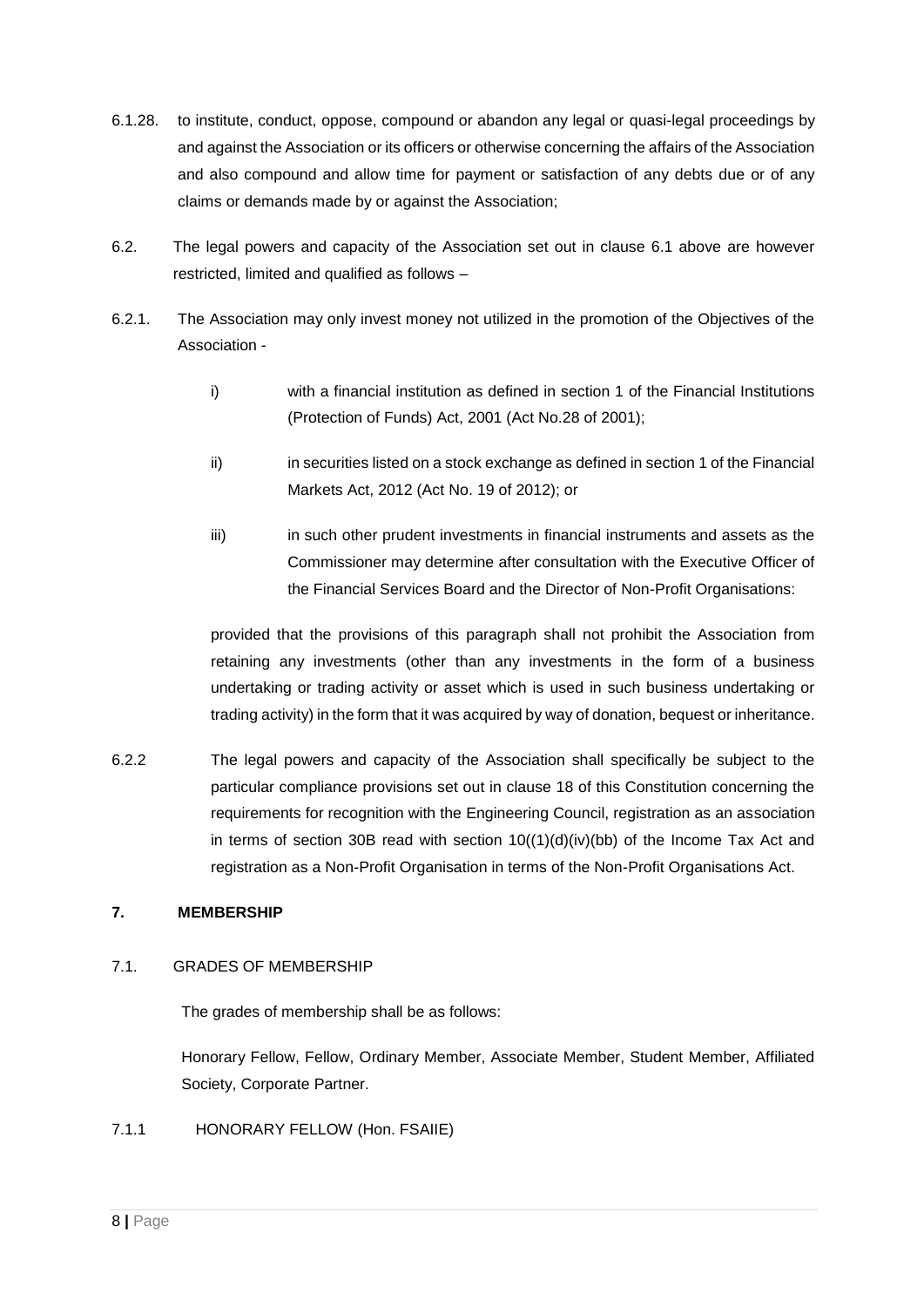- 6.1.28. to institute, conduct, oppose, compound or abandon any legal or quasi-legal proceedings by and against the Association or its officers or otherwise concerning the affairs of the Association and also compound and allow time for payment or satisfaction of any debts due or of any claims or demands made by or against the Association;
- 6.2. The legal powers and capacity of the Association set out in clause 6.1 above are however restricted, limited and qualified as follows –
- 6.2.1. The Association may only invest money not utilized in the promotion of the Objectives of the Association
	- i) with a financial institution as defined in section 1 of the Financial Institutions (Protection of Funds) Act, 2001 (Act No.28 of 2001);
	- ii) in securities listed on a stock exchange as defined in section 1 of the Financial Markets Act, 2012 (Act No. 19 of 2012); or
	- iii) in such other prudent investments in financial instruments and assets as the Commissioner may determine after consultation with the Executive Officer of the Financial Services Board and the Director of Non-Profit Organisations:

provided that the provisions of this paragraph shall not prohibit the Association from retaining any investments (other than any investments in the form of a business undertaking or trading activity or asset which is used in such business undertaking or trading activity) in the form that it was acquired by way of donation, bequest or inheritance.

6.2.2 The legal powers and capacity of the Association shall specifically be subject to the particular compliance provisions set out in clause 18 of this Constitution concerning the requirements for recognition with the Engineering Council, registration as an association in terms of section 30B read with section  $10((1)(d)(iv)(bb))$  of the Income Tax Act and registration as a Non-Profit Organisation in terms of the Non-Profit Organisations Act.

## **7. MEMBERSHIP**

## 7.1. GRADES OF MEMBERSHIP

The grades of membership shall be as follows:

Honorary Fellow, Fellow, Ordinary Member, Associate Member, Student Member, Affiliated Society, Corporate Partner.

7.1.1 HONORARY FELLOW (Hon. FSAIIE)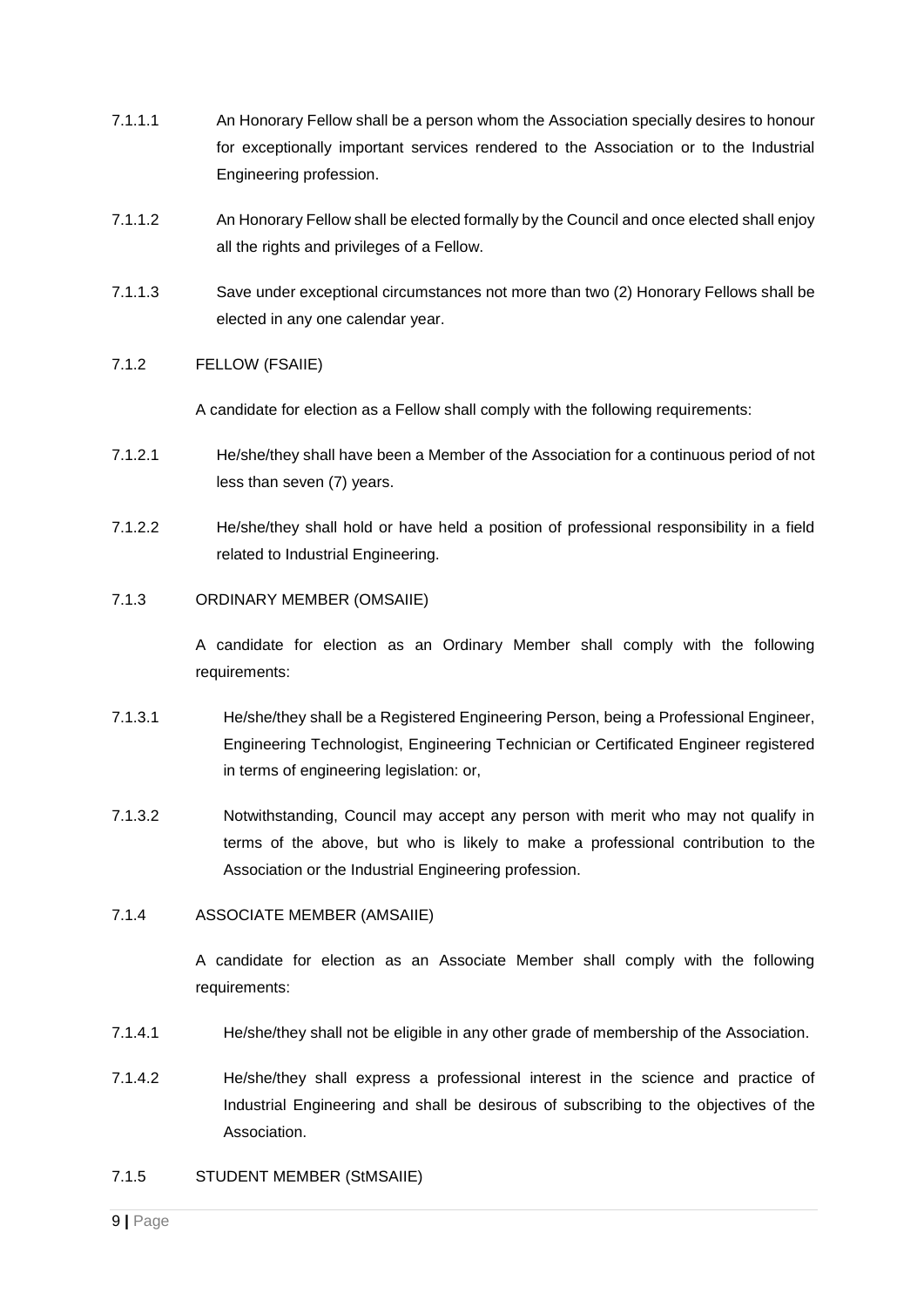- 7.1.1.1 An Honorary Fellow shall be a person whom the Association specially desires to honour for exceptionally important services rendered to the Association or to the Industrial Engineering profession.
- 7.1.1.2 An Honorary Fellow shall be elected formally by the Council and once elected shall enjoy all the rights and privileges of a Fellow.
- 7.1.1.3 Save under exceptional circumstances not more than two (2) Honorary Fellows shall be elected in any one calendar year.

#### 7.1.2 FELLOW (FSAIIE)

A candidate for election as a Fellow shall comply with the following requirements:

- 7.1.2.1 He/she/they shall have been a Member of the Association for a continuous period of not less than seven (7) years.
- 7.1.2.2 He/she/they shall hold or have held a position of professional responsibility in a field related to Industrial Engineering.

#### 7.1.3 ORDINARY MEMBER (OMSAIIE)

A candidate for election as an Ordinary Member shall comply with the following requirements:

- 7.1.3.1 He/she/they shall be a Registered Engineering Person, being a Professional Engineer, Engineering Technologist, Engineering Technician or Certificated Engineer registered in terms of engineering legislation: or,
- 7.1.3.2 Notwithstanding, Council may accept any person with merit who may not qualify in terms of the above, but who is likely to make a professional contribution to the Association or the Industrial Engineering profession.

#### 7.1.4 ASSOCIATE MEMBER (AMSAIIE)

A candidate for election as an Associate Member shall comply with the following requirements:

- 7.1.4.1 He/she/they shall not be eligible in any other grade of membership of the Association.
- 7.1.4.2 He/she/they shall express a professional interest in the science and practice of Industrial Engineering and shall be desirous of subscribing to the objectives of the Association.

#### 7.1.5 STUDENT MEMBER (StMSAIIE)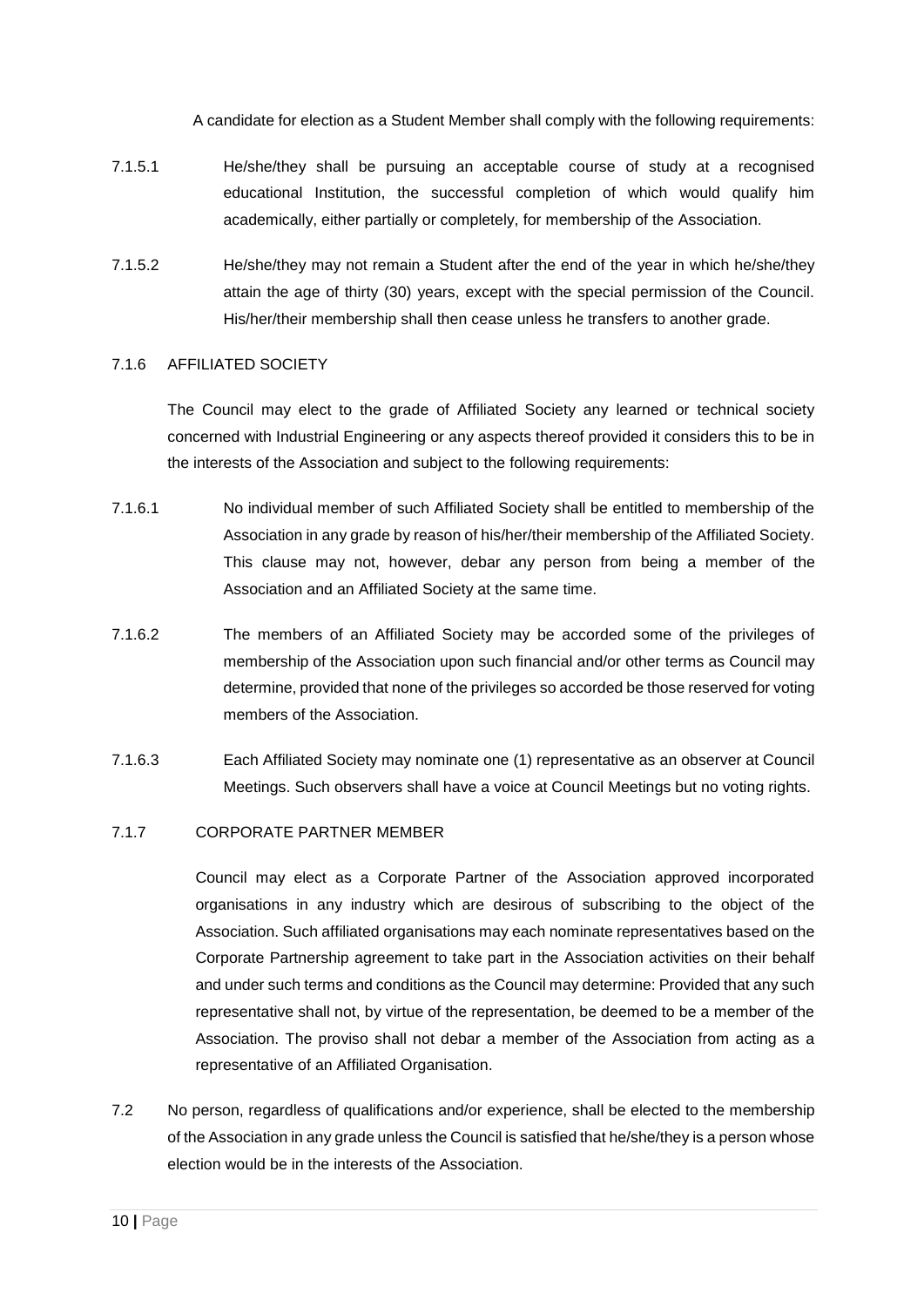A candidate for election as a Student Member shall comply with the following requirements:

- 7.1.5.1 He/she/they shall be pursuing an acceptable course of study at a recognised educational Institution, the successful completion of which would qualify him academically, either partially or completely, for membership of the Association.
- 7.1.5.2 He/she/they may not remain a Student after the end of the year in which he/she/they attain the age of thirty (30) years, except with the special permission of the Council. His/her/their membership shall then cease unless he transfers to another grade.

#### 7.1.6 AFFILIATED SOCIETY

The Council may elect to the grade of Affiliated Society any learned or technical society concerned with Industrial Engineering or any aspects thereof provided it considers this to be in the interests of the Association and subject to the following requirements:

- 7.1.6.1 No individual member of such Affiliated Society shall be entitled to membership of the Association in any grade by reason of his/her/their membership of the Affiliated Society. This clause may not, however, debar any person from being a member of the Association and an Affiliated Society at the same time.
- 7.1.6.2 The members of an Affiliated Society may be accorded some of the privileges of membership of the Association upon such financial and/or other terms as Council may determine, provided that none of the privileges so accorded be those reserved for voting members of the Association.
- 7.1.6.3 Each Affiliated Society may nominate one (1) representative as an observer at Council Meetings. Such observers shall have a voice at Council Meetings but no voting rights.

#### 7.1.7 CORPORATE PARTNER MEMBER

Council may elect as a Corporate Partner of the Association approved incorporated organisations in any industry which are desirous of subscribing to the object of the Association. Such affiliated organisations may each nominate representatives based on the Corporate Partnership agreement to take part in the Association activities on their behalf and under such terms and conditions as the Council may determine: Provided that any such representative shall not, by virtue of the representation, be deemed to be a member of the Association. The proviso shall not debar a member of the Association from acting as a representative of an Affiliated Organisation.

7.2 No person, regardless of qualifications and/or experience, shall be elected to the membership of the Association in any grade unless the Council is satisfied that he/she/they is a person whose election would be in the interests of the Association.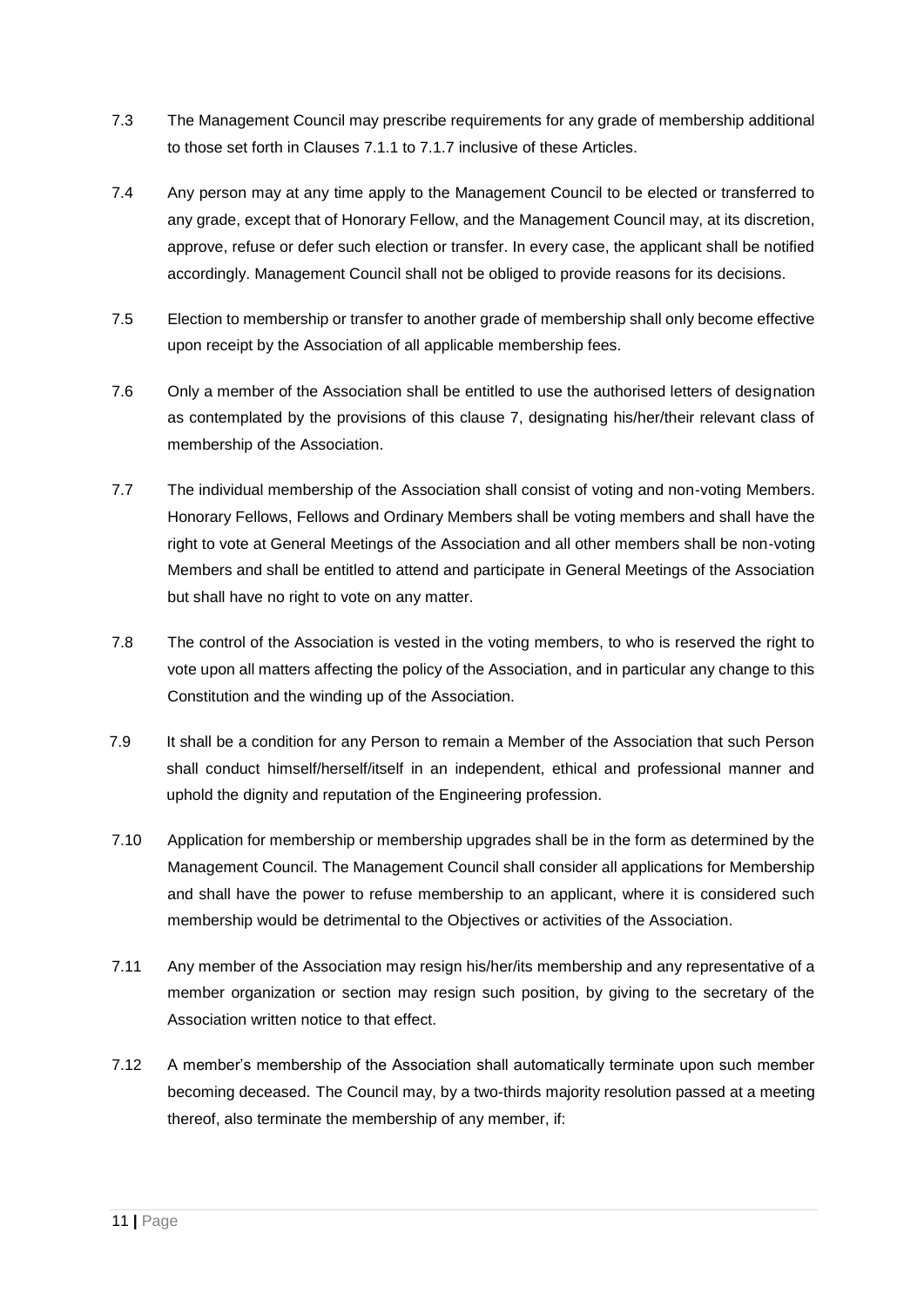- 7.3 The Management Council may prescribe requirements for any grade of membership additional to those set forth in Clauses 7.1.1 to 7.1.7 inclusive of these Articles.
- 7.4 Any person may at any time apply to the Management Council to be elected or transferred to any grade, except that of Honorary Fellow, and the Management Council may, at its discretion, approve, refuse or defer such election or transfer. In every case, the applicant shall be notified accordingly. Management Council shall not be obliged to provide reasons for its decisions.
- 7.5 Election to membership or transfer to another grade of membership shall only become effective upon receipt by the Association of all applicable membership fees.
- 7.6 Only a member of the Association shall be entitled to use the authorised letters of designation as contemplated by the provisions of this clause 7, designating his/her/their relevant class of membership of the Association.
- 7.7 The individual membership of the Association shall consist of voting and non-voting Members. Honorary Fellows, Fellows and Ordinary Members shall be voting members and shall have the right to vote at General Meetings of the Association and all other members shall be non-voting Members and shall be entitled to attend and participate in General Meetings of the Association but shall have no right to vote on any matter.
- 7.8 The control of the Association is vested in the voting members, to who is reserved the right to vote upon all matters affecting the policy of the Association, and in particular any change to this Constitution and the winding up of the Association.
- 7.9 It shall be a condition for any Person to remain a Member of the Association that such Person shall conduct himself/herself/itself in an independent, ethical and professional manner and uphold the dignity and reputation of the Engineering profession.
- 7.10 Application for membership or membership upgrades shall be in the form as determined by the Management Council. The Management Council shall consider all applications for Membership and shall have the power to refuse membership to an applicant, where it is considered such membership would be detrimental to the Objectives or activities of the Association.
- 7.11 Any member of the Association may resign his/her/its membership and any representative of a member organization or section may resign such position, by giving to the secretary of the Association written notice to that effect.
- 7.12 A member's membership of the Association shall automatically terminate upon such member becoming deceased. The Council may, by a two-thirds majority resolution passed at a meeting thereof, also terminate the membership of any member, if: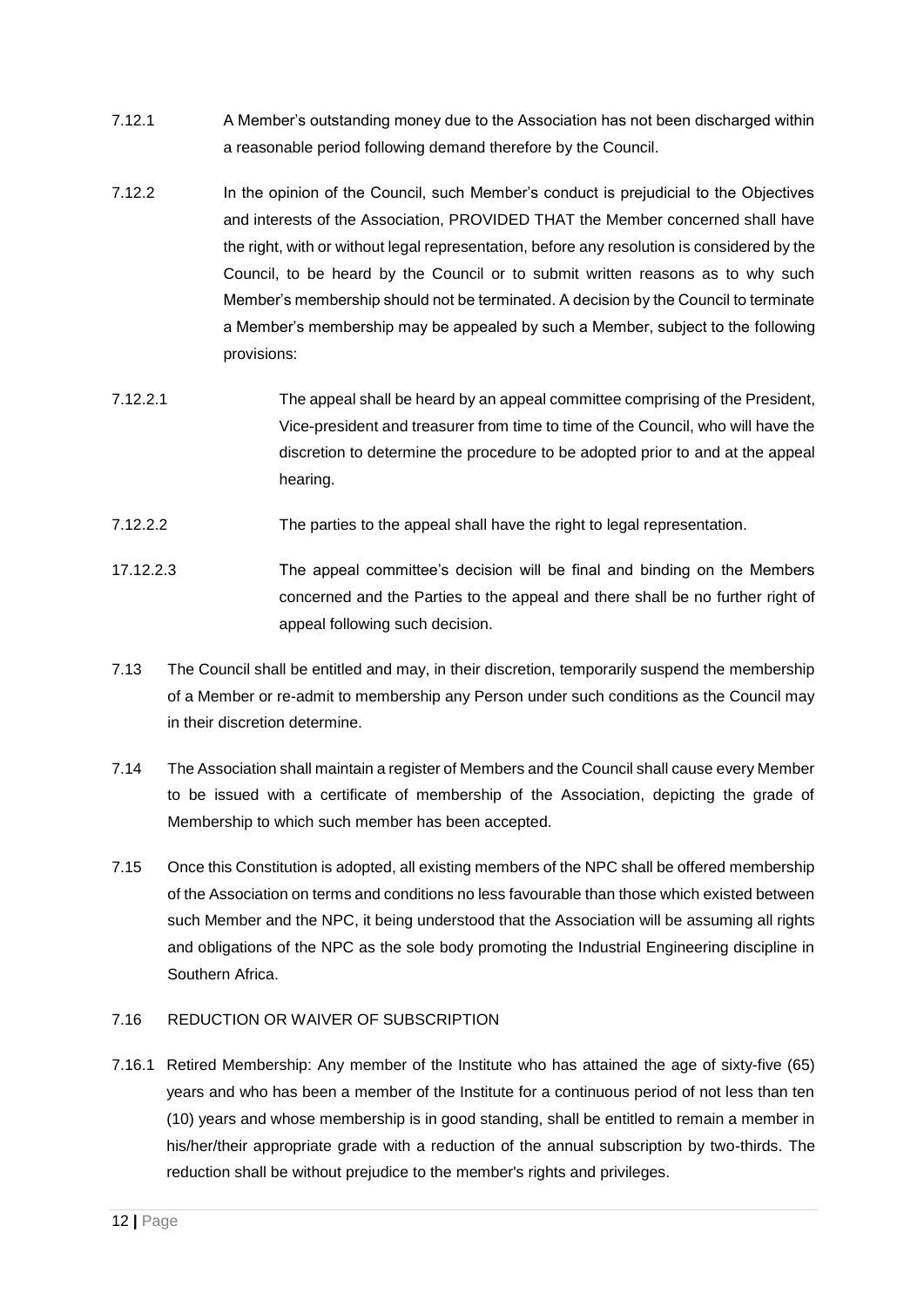- 7.12.1 A Member's outstanding money due to the Association has not been discharged within a reasonable period following demand therefore by the Council.
- 7.12.2 In the opinion of the Council, such Member's conduct is prejudicial to the Objectives and interests of the Association, PROVIDED THAT the Member concerned shall have the right, with or without legal representation, before any resolution is considered by the Council, to be heard by the Council or to submit written reasons as to why such Member's membership should not be terminated. A decision by the Council to terminate a Member's membership may be appealed by such a Member, subject to the following provisions:
- 7.12.2.1 The appeal shall be heard by an appeal committee comprising of the President, Vice-president and treasurer from time to time of the Council, who will have the discretion to determine the procedure to be adopted prior to and at the appeal hearing.
- 7.12.2.2 The parties to the appeal shall have the right to legal representation.
- 17.12.2.3 The appeal committee's decision will be final and binding on the Members concerned and the Parties to the appeal and there shall be no further right of appeal following such decision.
- 7.13 The Council shall be entitled and may, in their discretion, temporarily suspend the membership of a Member or re-admit to membership any Person under such conditions as the Council may in their discretion determine.
- 7.14 The Association shall maintain a register of Members and the Council shall cause every Member to be issued with a certificate of membership of the Association, depicting the grade of Membership to which such member has been accepted.
- 7.15 Once this Constitution is adopted, all existing members of the NPC shall be offered membership of the Association on terms and conditions no less favourable than those which existed between such Member and the NPC, it being understood that the Association will be assuming all rights and obligations of the NPC as the sole body promoting the Industrial Engineering discipline in Southern Africa.

## 7.16 REDUCTION OR WAIVER OF SUBSCRIPTION

7.16.1 Retired Membership: Any member of the Institute who has attained the age of sixty-five (65) years and who has been a member of the Institute for a continuous period of not less than ten (10) years and whose membership is in good standing, shall be entitled to remain a member in his/her/their appropriate grade with a reduction of the annual subscription by two-thirds. The reduction shall be without prejudice to the member's rights and privileges.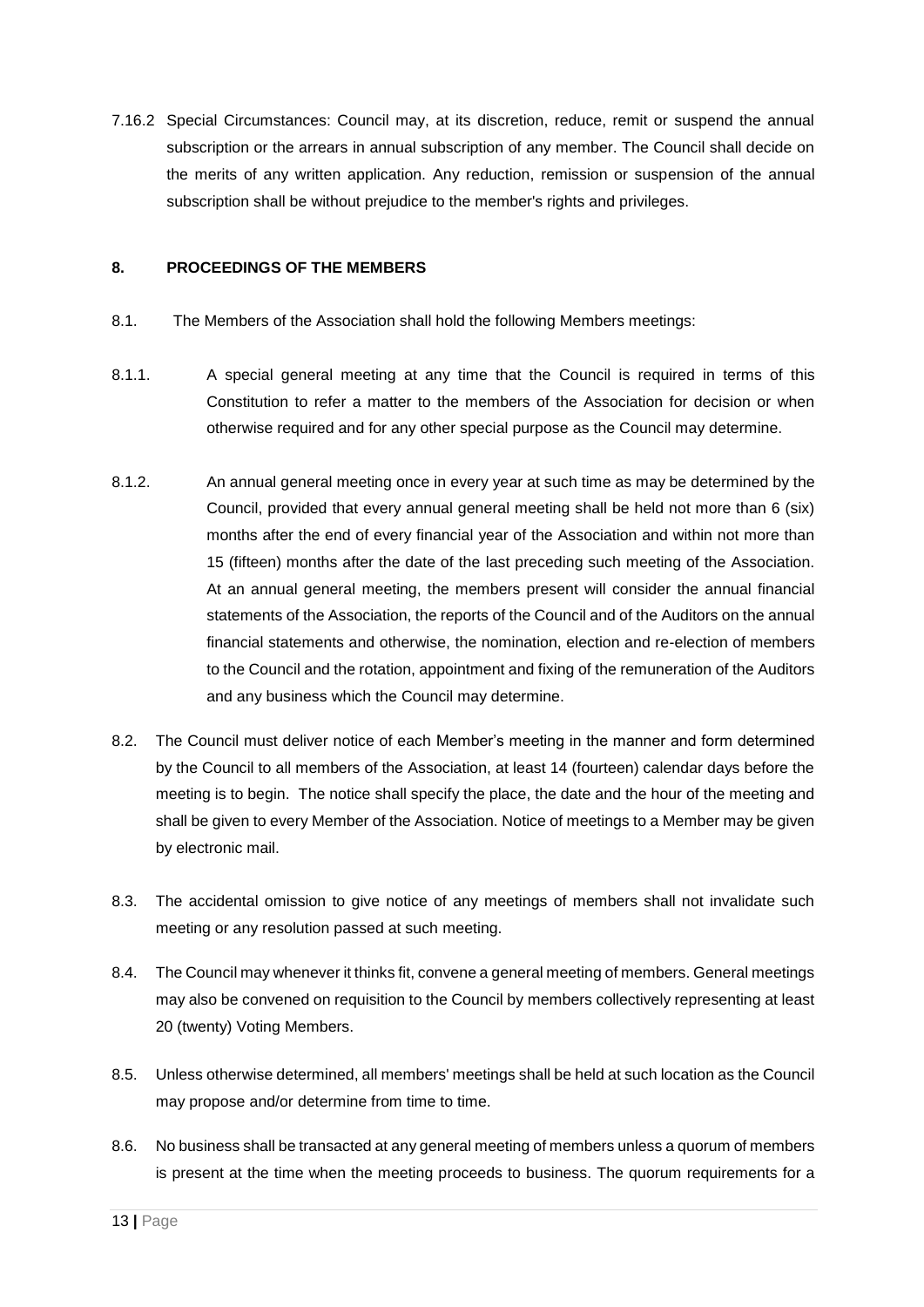7.16.2 Special Circumstances: Council may, at its discretion, reduce, remit or suspend the annual subscription or the arrears in annual subscription of any member. The Council shall decide on the merits of any written application. Any reduction, remission or suspension of the annual subscription shall be without prejudice to the member's rights and privileges.

## **8. PROCEEDINGS OF THE MEMBERS**

- 8.1. The Members of the Association shall hold the following Members meetings:
- 8.1.1. A special general meeting at any time that the Council is required in terms of this Constitution to refer a matter to the members of the Association for decision or when otherwise required and for any other special purpose as the Council may determine.
- 8.1.2. An annual general meeting once in every year at such time as may be determined by the Council, provided that every annual general meeting shall be held not more than 6 (six) months after the end of every financial year of the Association and within not more than 15 (fifteen) months after the date of the last preceding such meeting of the Association. At an annual general meeting, the members present will consider the annual financial statements of the Association, the reports of the Council and of the Auditors on the annual financial statements and otherwise, the nomination, election and re-election of members to the Council and the rotation, appointment and fixing of the remuneration of the Auditors and any business which the Council may determine.
- 8.2. The Council must deliver notice of each Member's meeting in the manner and form determined by the Council to all members of the Association, at least 14 (fourteen) calendar days before the meeting is to begin. The notice shall specify the place, the date and the hour of the meeting and shall be given to every Member of the Association. Notice of meetings to a Member may be given by electronic mail.
- 8.3. The accidental omission to give notice of any meetings of members shall not invalidate such meeting or any resolution passed at such meeting.
- 8.4. The Council may whenever it thinks fit, convene a general meeting of members. General meetings may also be convened on requisition to the Council by members collectively representing at least 20 (twenty) Voting Members.
- 8.5. Unless otherwise determined, all members' meetings shall be held at such location as the Council may propose and/or determine from time to time.
- 8.6. No business shall be transacted at any general meeting of members unless a quorum of members is present at the time when the meeting proceeds to business. The quorum requirements for a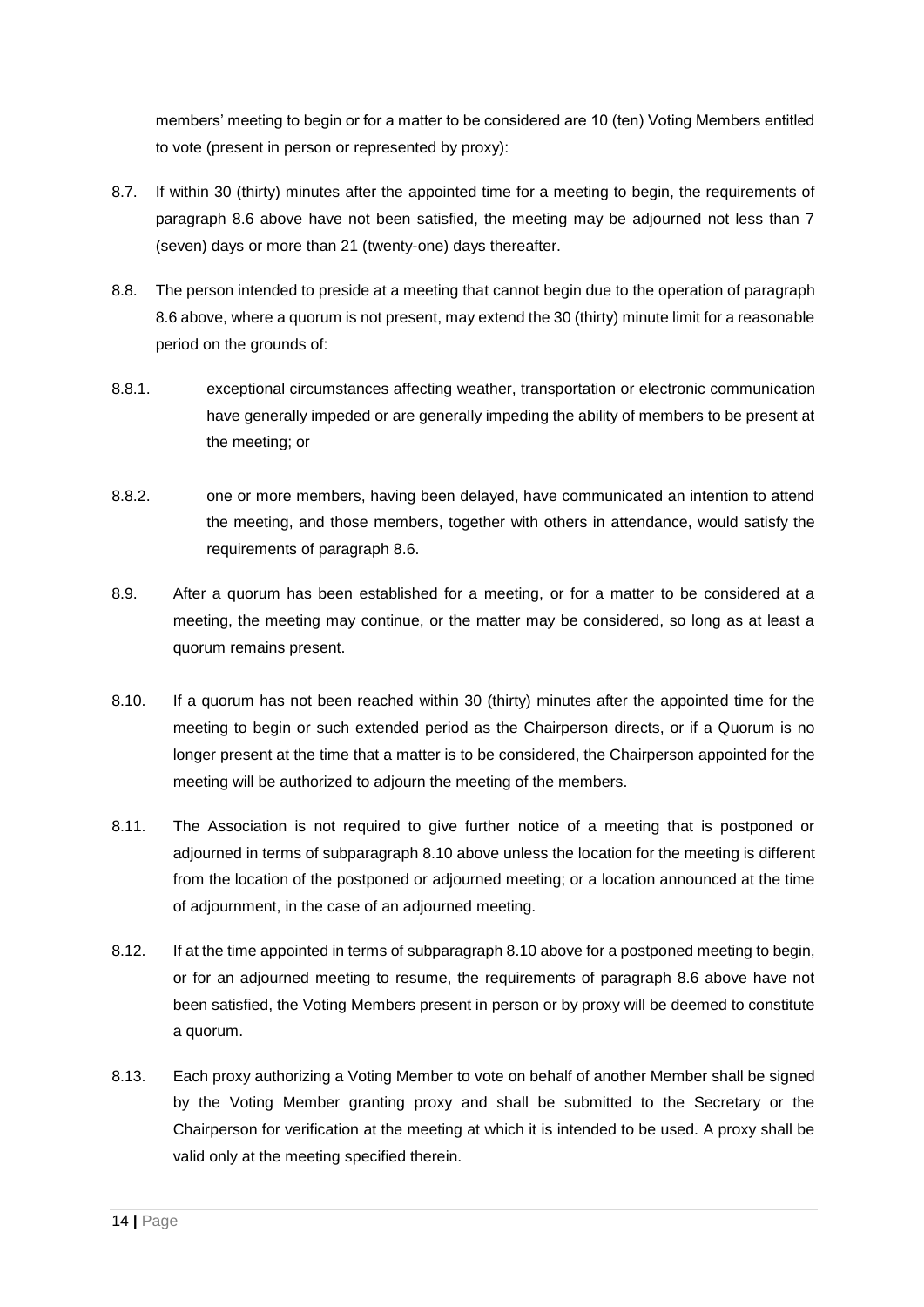members' meeting to begin or for a matter to be considered are 10 (ten) Voting Members entitled to vote (present in person or represented by proxy):

- 8.7. If within 30 (thirty) minutes after the appointed time for a meeting to begin, the requirements of paragraph 8.6 above have not been satisfied, the meeting may be adjourned not less than 7 (seven) days or more than 21 (twenty-one) days thereafter.
- 8.8. The person intended to preside at a meeting that cannot begin due to the operation of paragraph 8.6 above, where a quorum is not present, may extend the 30 (thirty) minute limit for a reasonable period on the grounds of:
- 8.8.1. exceptional circumstances affecting weather, transportation or electronic communication have generally impeded or are generally impeding the ability of members to be present at the meeting; or
- 8.8.2. one or more members, having been delayed, have communicated an intention to attend the meeting, and those members, together with others in attendance, would satisfy the requirements of paragraph 8.6.
- 8.9. After a quorum has been established for a meeting, or for a matter to be considered at a meeting, the meeting may continue, or the matter may be considered, so long as at least a quorum remains present.
- 8.10. If a quorum has not been reached within 30 (thirty) minutes after the appointed time for the meeting to begin or such extended period as the Chairperson directs, or if a Quorum is no longer present at the time that a matter is to be considered, the Chairperson appointed for the meeting will be authorized to adjourn the meeting of the members.
- 8.11. The Association is not required to give further notice of a meeting that is postponed or adjourned in terms of subparagraph 8.10 above unless the location for the meeting is different from the location of the postponed or adjourned meeting; or a location announced at the time of adjournment, in the case of an adjourned meeting.
- 8.12. If at the time appointed in terms of subparagraph 8.10 above for a postponed meeting to begin, or for an adjourned meeting to resume, the requirements of paragraph 8.6 above have not been satisfied, the Voting Members present in person or by proxy will be deemed to constitute a quorum.
- 8.13. Each proxy authorizing a Voting Member to vote on behalf of another Member shall be signed by the Voting Member granting proxy and shall be submitted to the Secretary or the Chairperson for verification at the meeting at which it is intended to be used. A proxy shall be valid only at the meeting specified therein.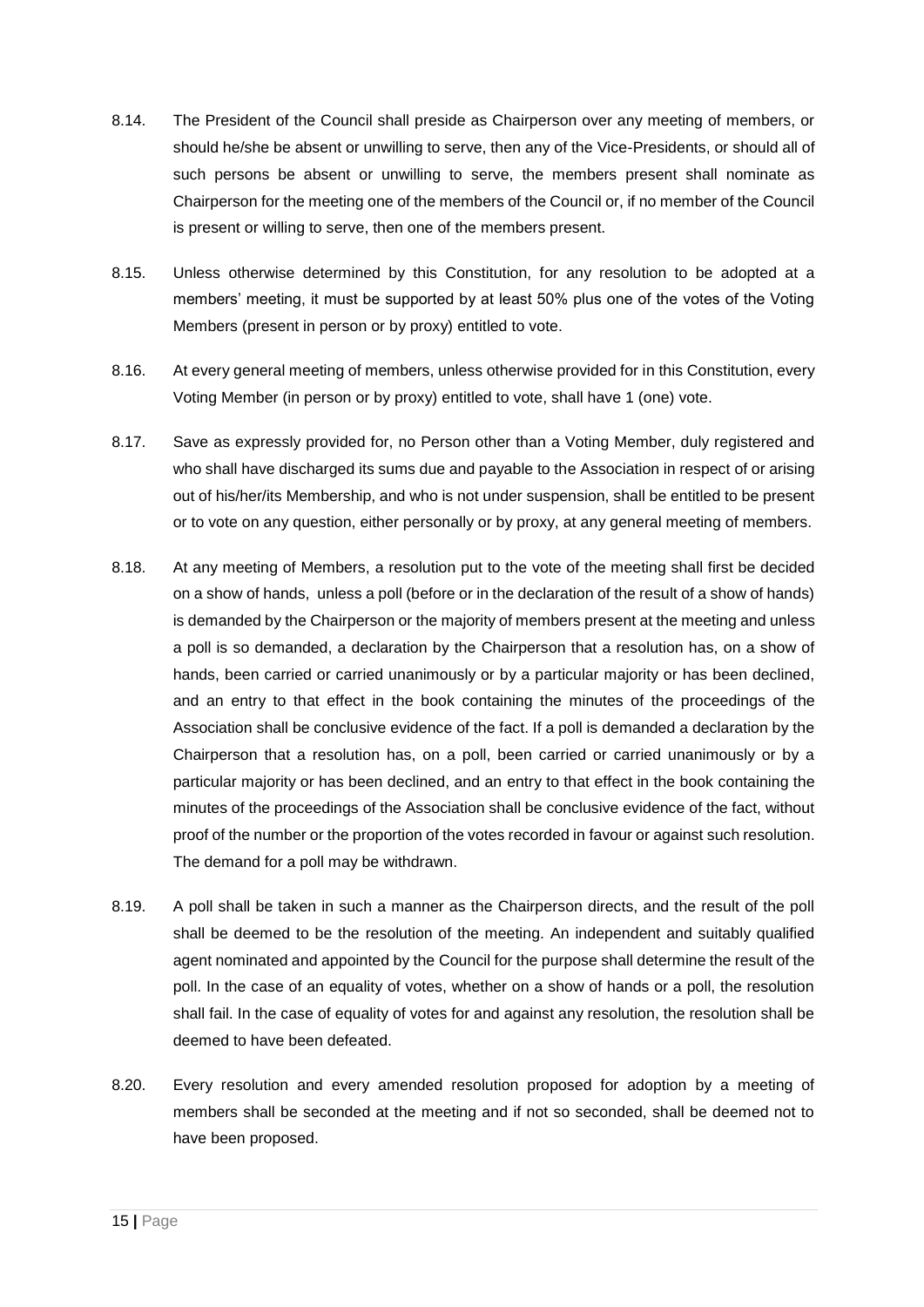- 8.14. The President of the Council shall preside as Chairperson over any meeting of members, or should he/she be absent or unwilling to serve, then any of the Vice-Presidents, or should all of such persons be absent or unwilling to serve, the members present shall nominate as Chairperson for the meeting one of the members of the Council or, if no member of the Council is present or willing to serve, then one of the members present.
- 8.15. Unless otherwise determined by this Constitution, for any resolution to be adopted at a members' meeting, it must be supported by at least 50% plus one of the votes of the Voting Members (present in person or by proxy) entitled to vote.
- 8.16. At every general meeting of members, unless otherwise provided for in this Constitution, every Voting Member (in person or by proxy) entitled to vote, shall have 1 (one) vote.
- 8.17. Save as expressly provided for, no Person other than a Voting Member, duly registered and who shall have discharged its sums due and payable to the Association in respect of or arising out of his/her/its Membership, and who is not under suspension, shall be entitled to be present or to vote on any question, either personally or by proxy, at any general meeting of members.
- 8.18. At any meeting of Members, a resolution put to the vote of the meeting shall first be decided on a show of hands, unless a poll (before or in the declaration of the result of a show of hands) is demanded by the Chairperson or the majority of members present at the meeting and unless a poll is so demanded, a declaration by the Chairperson that a resolution has, on a show of hands, been carried or carried unanimously or by a particular majority or has been declined, and an entry to that effect in the book containing the minutes of the proceedings of the Association shall be conclusive evidence of the fact. If a poll is demanded a declaration by the Chairperson that a resolution has, on a poll, been carried or carried unanimously or by a particular majority or has been declined, and an entry to that effect in the book containing the minutes of the proceedings of the Association shall be conclusive evidence of the fact, without proof of the number or the proportion of the votes recorded in favour or against such resolution. The demand for a poll may be withdrawn.
- 8.19. A poll shall be taken in such a manner as the Chairperson directs, and the result of the poll shall be deemed to be the resolution of the meeting. An independent and suitably qualified agent nominated and appointed by the Council for the purpose shall determine the result of the poll. In the case of an equality of votes, whether on a show of hands or a poll, the resolution shall fail. In the case of equality of votes for and against any resolution, the resolution shall be deemed to have been defeated.
- 8.20. Every resolution and every amended resolution proposed for adoption by a meeting of members shall be seconded at the meeting and if not so seconded, shall be deemed not to have been proposed.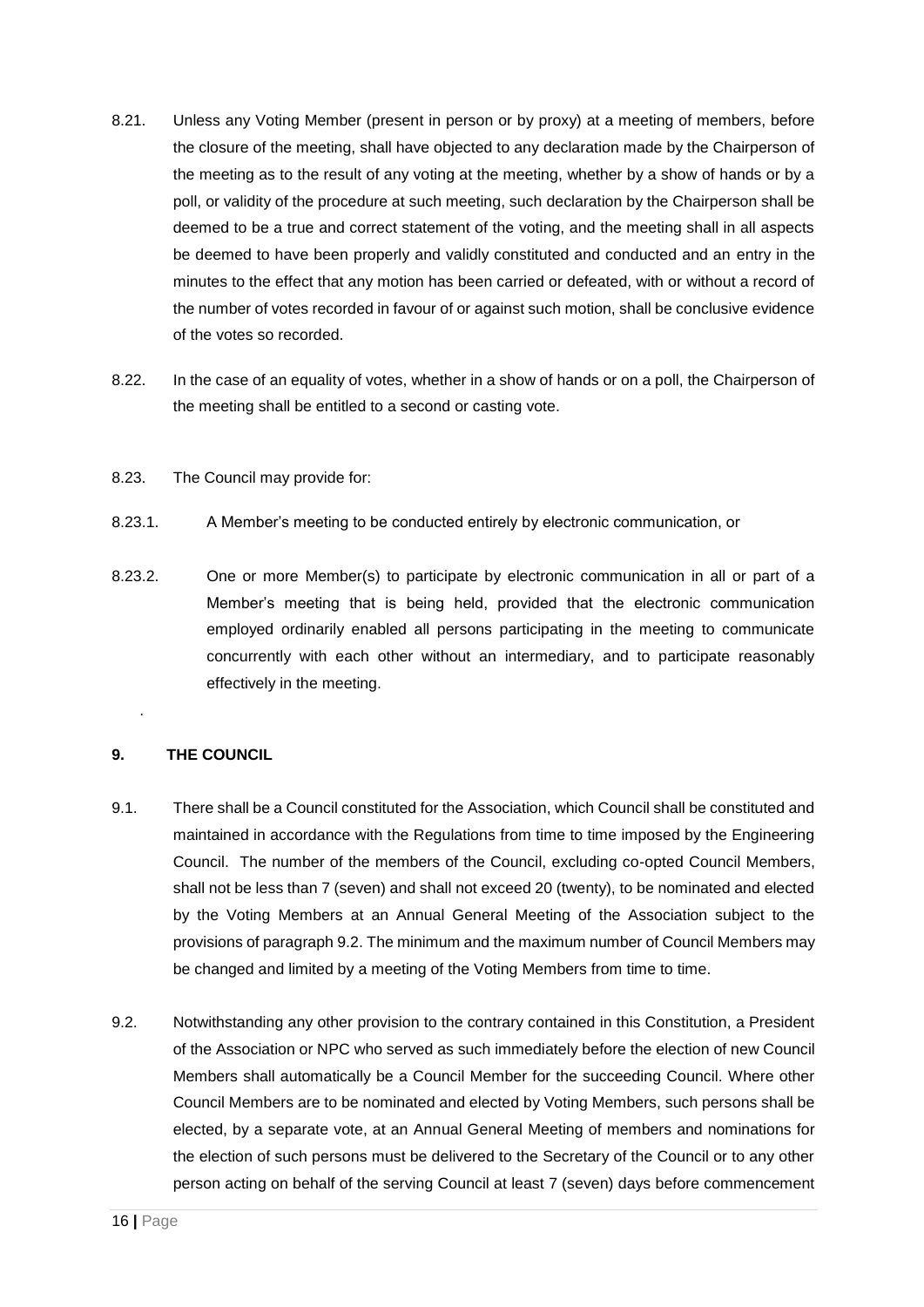- 8.21. Unless any Voting Member (present in person or by proxy) at a meeting of members, before the closure of the meeting, shall have objected to any declaration made by the Chairperson of the meeting as to the result of any voting at the meeting, whether by a show of hands or by a poll, or validity of the procedure at such meeting, such declaration by the Chairperson shall be deemed to be a true and correct statement of the voting, and the meeting shall in all aspects be deemed to have been properly and validly constituted and conducted and an entry in the minutes to the effect that any motion has been carried or defeated, with or without a record of the number of votes recorded in favour of or against such motion, shall be conclusive evidence of the votes so recorded.
- 8.22. In the case of an equality of votes, whether in a show of hands or on a poll, the Chairperson of the meeting shall be entitled to a second or casting vote.
- 8.23. The Council may provide for:
- 8.23.1. A Member's meeting to be conducted entirely by electronic communication, or
- 8.23.2. One or more Member(s) to participate by electronic communication in all or part of a Member's meeting that is being held, provided that the electronic communication employed ordinarily enabled all persons participating in the meeting to communicate concurrently with each other without an intermediary, and to participate reasonably effectively in the meeting.

## **9. THE COUNCIL**

.

- 9.1. There shall be a Council constituted for the Association, which Council shall be constituted and maintained in accordance with the Regulations from time to time imposed by the Engineering Council. The number of the members of the Council, excluding co-opted Council Members, shall not be less than 7 (seven) and shall not exceed 20 (twenty), to be nominated and elected by the Voting Members at an Annual General Meeting of the Association subject to the provisions of paragraph 9.2. The minimum and the maximum number of Council Members may be changed and limited by a meeting of the Voting Members from time to time.
- 9.2. Notwithstanding any other provision to the contrary contained in this Constitution, a President of the Association or NPC who served as such immediately before the election of new Council Members shall automatically be a Council Member for the succeeding Council. Where other Council Members are to be nominated and elected by Voting Members, such persons shall be elected, by a separate vote, at an Annual General Meeting of members and nominations for the election of such persons must be delivered to the Secretary of the Council or to any other person acting on behalf of the serving Council at least 7 (seven) days before commencement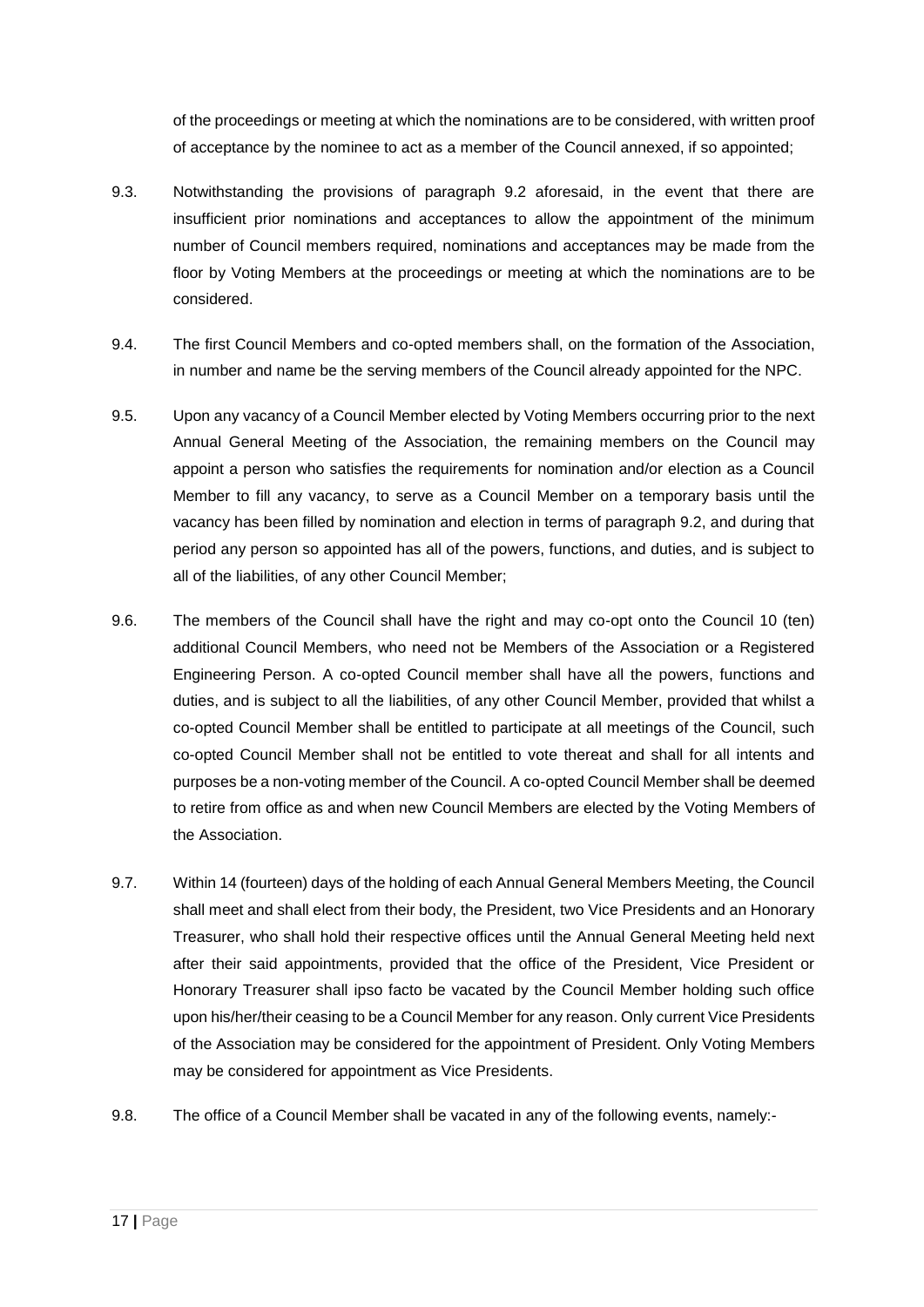of the proceedings or meeting at which the nominations are to be considered, with written proof of acceptance by the nominee to act as a member of the Council annexed, if so appointed;

- 9.3. Notwithstanding the provisions of paragraph 9.2 aforesaid, in the event that there are insufficient prior nominations and acceptances to allow the appointment of the minimum number of Council members required, nominations and acceptances may be made from the floor by Voting Members at the proceedings or meeting at which the nominations are to be considered.
- 9.4. The first Council Members and co-opted members shall, on the formation of the Association, in number and name be the serving members of the Council already appointed for the NPC.
- 9.5. Upon any vacancy of a Council Member elected by Voting Members occurring prior to the next Annual General Meeting of the Association, the remaining members on the Council may appoint a person who satisfies the requirements for nomination and/or election as a Council Member to fill any vacancy, to serve as a Council Member on a temporary basis until the vacancy has been filled by nomination and election in terms of paragraph 9.2, and during that period any person so appointed has all of the powers, functions, and duties, and is subject to all of the liabilities, of any other Council Member;
- 9.6. The members of the Council shall have the right and may co-opt onto the Council 10 (ten) additional Council Members, who need not be Members of the Association or a Registered Engineering Person. A co-opted Council member shall have all the powers, functions and duties, and is subject to all the liabilities, of any other Council Member, provided that whilst a co-opted Council Member shall be entitled to participate at all meetings of the Council, such co-opted Council Member shall not be entitled to vote thereat and shall for all intents and purposes be a non-voting member of the Council. A co-opted Council Member shall be deemed to retire from office as and when new Council Members are elected by the Voting Members of the Association.
- 9.7. Within 14 (fourteen) days of the holding of each Annual General Members Meeting, the Council shall meet and shall elect from their body, the President, two Vice Presidents and an Honorary Treasurer, who shall hold their respective offices until the Annual General Meeting held next after their said appointments, provided that the office of the President, Vice President or Honorary Treasurer shall ipso facto be vacated by the Council Member holding such office upon his/her/their ceasing to be a Council Member for any reason. Only current Vice Presidents of the Association may be considered for the appointment of President. Only Voting Members may be considered for appointment as Vice Presidents.
- 9.8. The office of a Council Member shall be vacated in any of the following events, namely:-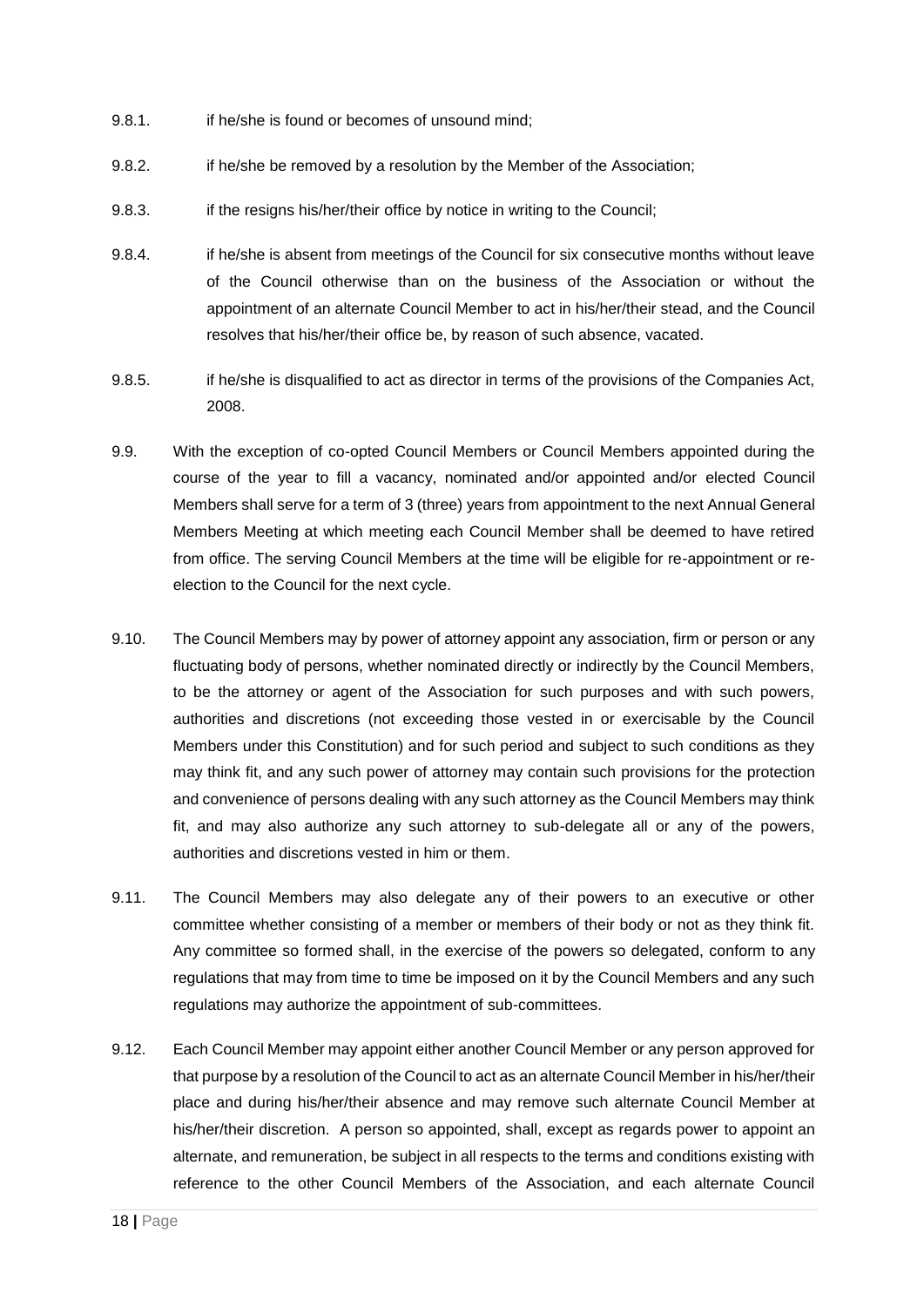- 9.8.1. if he/she is found or becomes of unsound mind;
- 9.8.2. if he/she be removed by a resolution by the Member of the Association;
- 9.8.3. if the resigns his/her/their office by notice in writing to the Council;
- 9.8.4. if he/she is absent from meetings of the Council for six consecutive months without leave of the Council otherwise than on the business of the Association or without the appointment of an alternate Council Member to act in his/her/their stead, and the Council resolves that his/her/their office be, by reason of such absence, vacated.
- 9.8.5. if he/she is disqualified to act as director in terms of the provisions of the Companies Act, 2008.
- 9.9. With the exception of co-opted Council Members or Council Members appointed during the course of the year to fill a vacancy, nominated and/or appointed and/or elected Council Members shall serve for a term of 3 (three) years from appointment to the next Annual General Members Meeting at which meeting each Council Member shall be deemed to have retired from office. The serving Council Members at the time will be eligible for re-appointment or reelection to the Council for the next cycle.
- 9.10. The Council Members may by power of attorney appoint any association, firm or person or any fluctuating body of persons, whether nominated directly or indirectly by the Council Members, to be the attorney or agent of the Association for such purposes and with such powers, authorities and discretions (not exceeding those vested in or exercisable by the Council Members under this Constitution) and for such period and subject to such conditions as they may think fit, and any such power of attorney may contain such provisions for the protection and convenience of persons dealing with any such attorney as the Council Members may think fit, and may also authorize any such attorney to sub-delegate all or any of the powers, authorities and discretions vested in him or them.
- 9.11. The Council Members may also delegate any of their powers to an executive or other committee whether consisting of a member or members of their body or not as they think fit. Any committee so formed shall, in the exercise of the powers so delegated, conform to any regulations that may from time to time be imposed on it by the Council Members and any such regulations may authorize the appointment of sub-committees.
- 9.12. Each Council Member may appoint either another Council Member or any person approved for that purpose by a resolution of the Council to act as an alternate Council Member in his/her/their place and during his/her/their absence and may remove such alternate Council Member at his/her/their discretion. A person so appointed, shall, except as regards power to appoint an alternate, and remuneration, be subject in all respects to the terms and conditions existing with reference to the other Council Members of the Association, and each alternate Council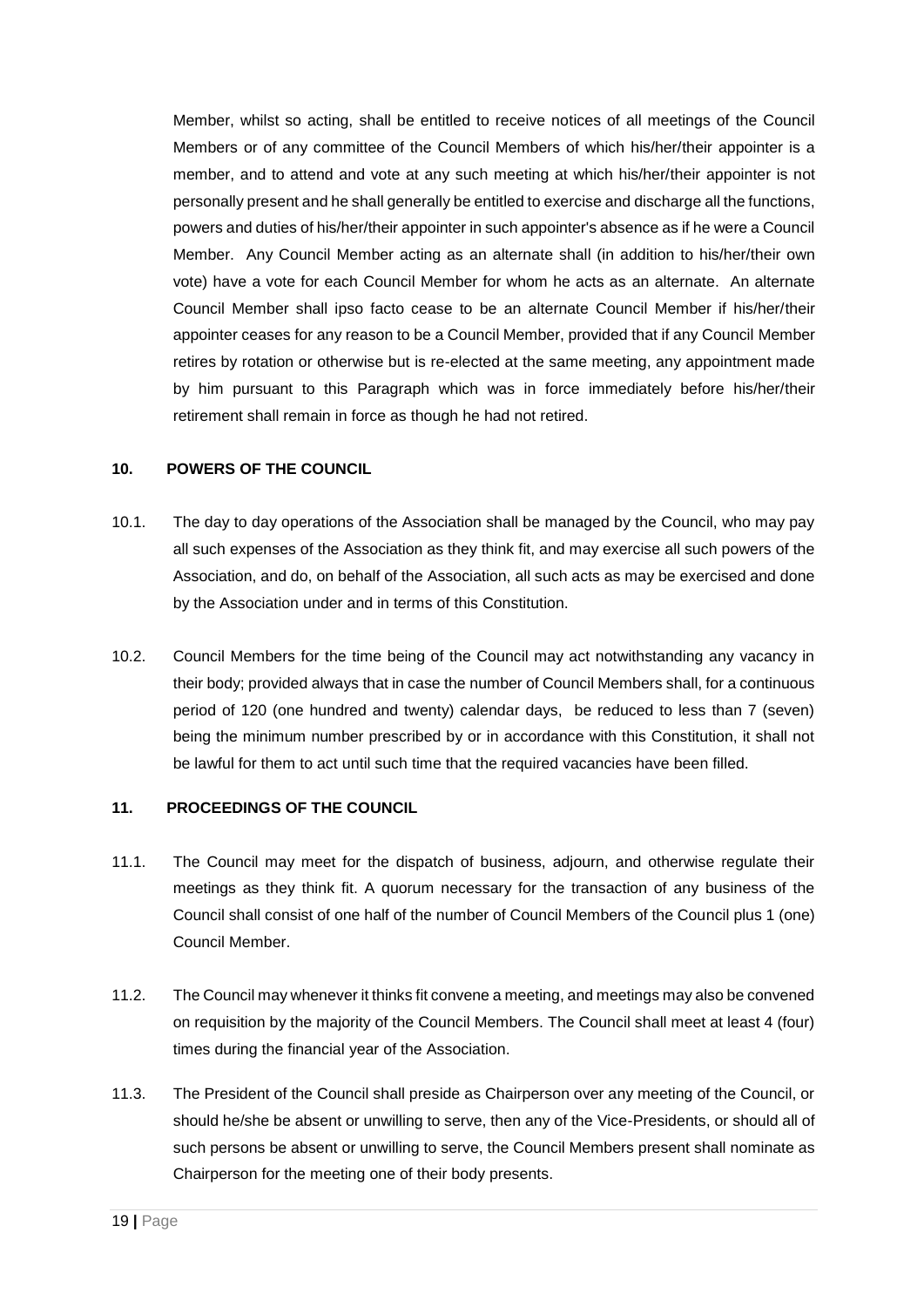Member, whilst so acting, shall be entitled to receive notices of all meetings of the Council Members or of any committee of the Council Members of which his/her/their appointer is a member, and to attend and vote at any such meeting at which his/her/their appointer is not personally present and he shall generally be entitled to exercise and discharge all the functions, powers and duties of his/her/their appointer in such appointer's absence as if he were a Council Member. Any Council Member acting as an alternate shall (in addition to his/her/their own vote) have a vote for each Council Member for whom he acts as an alternate. An alternate Council Member shall ipso facto cease to be an alternate Council Member if his/her/their appointer ceases for any reason to be a Council Member, provided that if any Council Member retires by rotation or otherwise but is re-elected at the same meeting, any appointment made by him pursuant to this Paragraph which was in force immediately before his/her/their retirement shall remain in force as though he had not retired.

## **10. POWERS OF THE COUNCIL**

- 10.1. The day to day operations of the Association shall be managed by the Council, who may pay all such expenses of the Association as they think fit, and may exercise all such powers of the Association, and do, on behalf of the Association, all such acts as may be exercised and done by the Association under and in terms of this Constitution.
- 10.2. Council Members for the time being of the Council may act notwithstanding any vacancy in their body; provided always that in case the number of Council Members shall, for a continuous period of 120 (one hundred and twenty) calendar days, be reduced to less than 7 (seven) being the minimum number prescribed by or in accordance with this Constitution, it shall not be lawful for them to act until such time that the required vacancies have been filled.

## **11. PROCEEDINGS OF THE COUNCIL**

- 11.1. The Council may meet for the dispatch of business, adjourn, and otherwise regulate their meetings as they think fit. A quorum necessary for the transaction of any business of the Council shall consist of one half of the number of Council Members of the Council plus 1 (one) Council Member.
- 11.2. The Council may whenever it thinks fit convene a meeting, and meetings may also be convened on requisition by the majority of the Council Members. The Council shall meet at least 4 (four) times during the financial year of the Association.
- 11.3. The President of the Council shall preside as Chairperson over any meeting of the Council, or should he/she be absent or unwilling to serve, then any of the Vice-Presidents, or should all of such persons be absent or unwilling to serve, the Council Members present shall nominate as Chairperson for the meeting one of their body presents.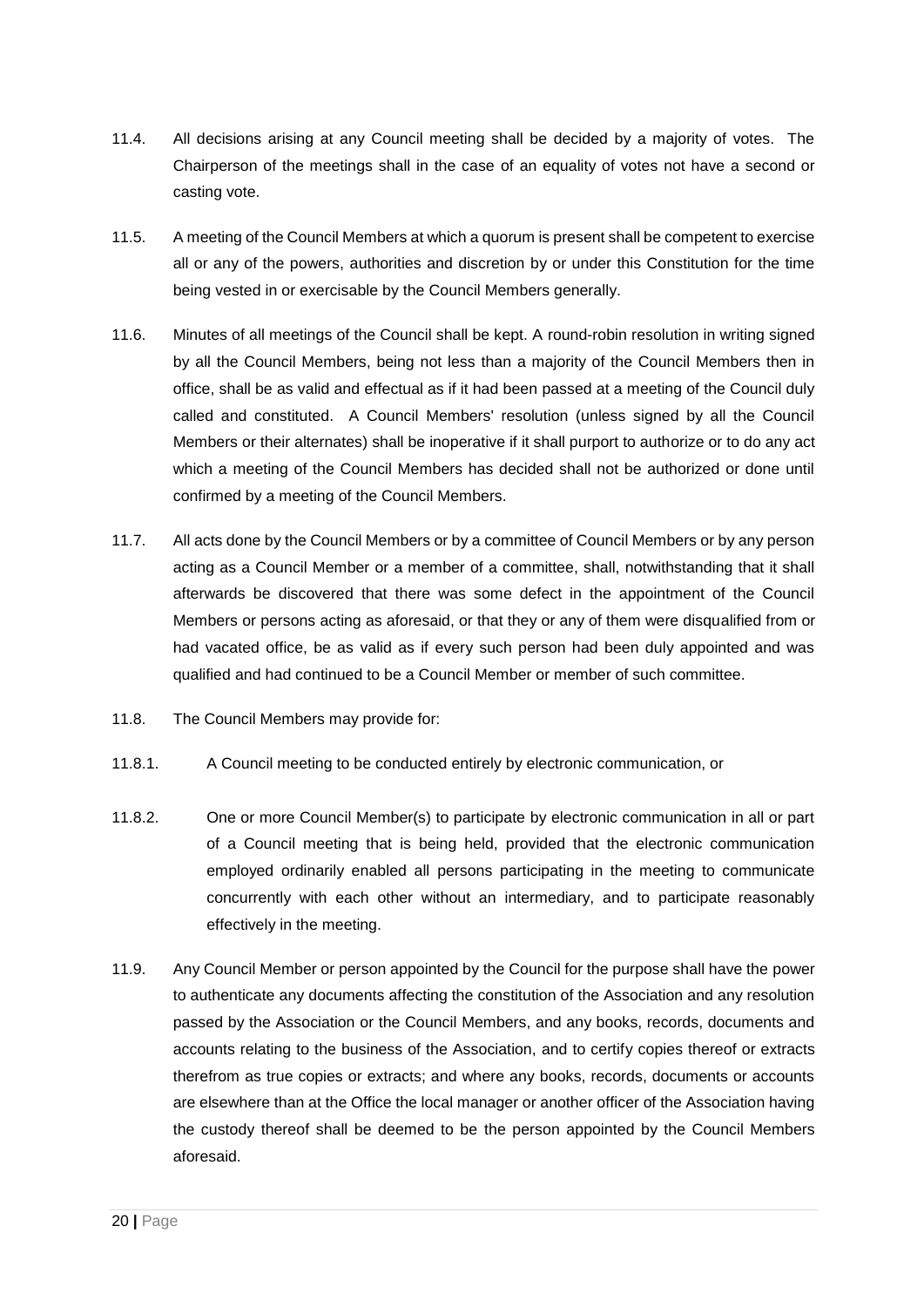- 11.4. All decisions arising at any Council meeting shall be decided by a majority of votes. The Chairperson of the meetings shall in the case of an equality of votes not have a second or casting vote.
- 11.5. A meeting of the Council Members at which a quorum is present shall be competent to exercise all or any of the powers, authorities and discretion by or under this Constitution for the time being vested in or exercisable by the Council Members generally.
- 11.6. Minutes of all meetings of the Council shall be kept. A round-robin resolution in writing signed by all the Council Members, being not less than a majority of the Council Members then in office, shall be as valid and effectual as if it had been passed at a meeting of the Council duly called and constituted. A Council Members' resolution (unless signed by all the Council Members or their alternates) shall be inoperative if it shall purport to authorize or to do any act which a meeting of the Council Members has decided shall not be authorized or done until confirmed by a meeting of the Council Members.
- 11.7. All acts done by the Council Members or by a committee of Council Members or by any person acting as a Council Member or a member of a committee, shall, notwithstanding that it shall afterwards be discovered that there was some defect in the appointment of the Council Members or persons acting as aforesaid, or that they or any of them were disqualified from or had vacated office, be as valid as if every such person had been duly appointed and was qualified and had continued to be a Council Member or member of such committee.
- 11.8. The Council Members may provide for:
- 11.8.1. A Council meeting to be conducted entirely by electronic communication, or
- 11.8.2. One or more Council Member(s) to participate by electronic communication in all or part of a Council meeting that is being held, provided that the electronic communication employed ordinarily enabled all persons participating in the meeting to communicate concurrently with each other without an intermediary, and to participate reasonably effectively in the meeting.
- 11.9. Any Council Member or person appointed by the Council for the purpose shall have the power to authenticate any documents affecting the constitution of the Association and any resolution passed by the Association or the Council Members, and any books, records, documents and accounts relating to the business of the Association, and to certify copies thereof or extracts therefrom as true copies or extracts; and where any books, records, documents or accounts are elsewhere than at the Office the local manager or another officer of the Association having the custody thereof shall be deemed to be the person appointed by the Council Members aforesaid.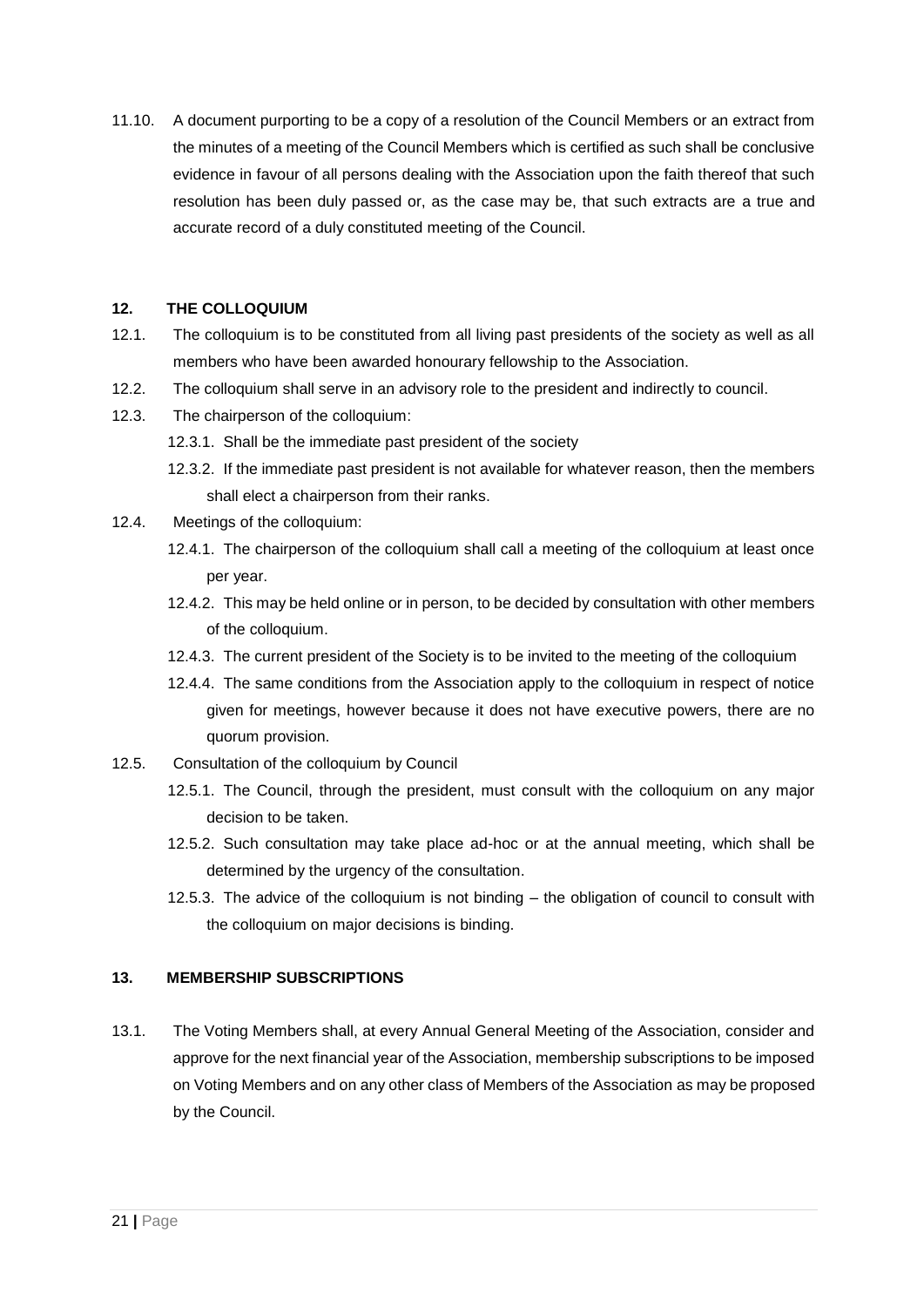11.10. A document purporting to be a copy of a resolution of the Council Members or an extract from the minutes of a meeting of the Council Members which is certified as such shall be conclusive evidence in favour of all persons dealing with the Association upon the faith thereof that such resolution has been duly passed or, as the case may be, that such extracts are a true and accurate record of a duly constituted meeting of the Council.

## **12. THE COLLOQUIUM**

- 12.1. The colloquium is to be constituted from all living past presidents of the society as well as all members who have been awarded honourary fellowship to the Association.
- 12.2. The colloquium shall serve in an advisory role to the president and indirectly to council.
- 12.3. The chairperson of the colloquium:
	- 12.3.1. Shall be the immediate past president of the society
	- 12.3.2. If the immediate past president is not available for whatever reason, then the members shall elect a chairperson from their ranks.
- 12.4. Meetings of the colloquium:
	- 12.4.1. The chairperson of the colloquium shall call a meeting of the colloquium at least once per year.
	- 12.4.2. This may be held online or in person, to be decided by consultation with other members of the colloquium.
	- 12.4.3. The current president of the Society is to be invited to the meeting of the colloquium
	- 12.4.4. The same conditions from the Association apply to the colloquium in respect of notice given for meetings, however because it does not have executive powers, there are no quorum provision.
- 12.5. Consultation of the colloquium by Council
	- 12.5.1. The Council, through the president, must consult with the colloquium on any major decision to be taken.
	- 12.5.2. Such consultation may take place ad-hoc or at the annual meeting, which shall be determined by the urgency of the consultation.
	- 12.5.3. The advice of the colloquium is not binding the obligation of council to consult with the colloquium on major decisions is binding.

## **13. MEMBERSHIP SUBSCRIPTIONS**

13.1. The Voting Members shall, at every Annual General Meeting of the Association, consider and approve for the next financial year of the Association, membership subscriptions to be imposed on Voting Members and on any other class of Members of the Association as may be proposed by the Council.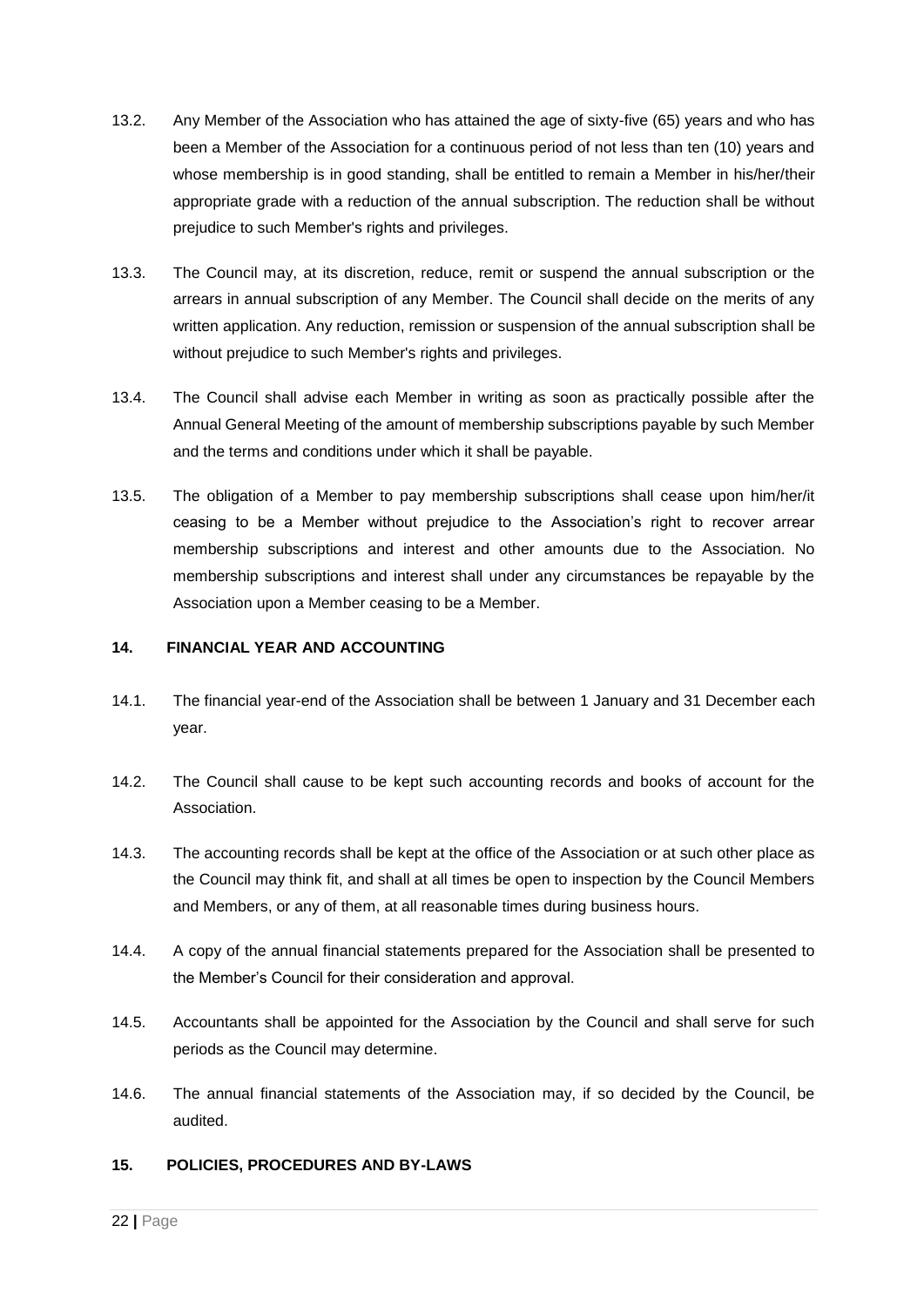- 13.2. Any Member of the Association who has attained the age of sixty-five (65) years and who has been a Member of the Association for a continuous period of not less than ten (10) years and whose membership is in good standing, shall be entitled to remain a Member in his/her/their appropriate grade with a reduction of the annual subscription. The reduction shall be without prejudice to such Member's rights and privileges.
- 13.3. The Council may, at its discretion, reduce, remit or suspend the annual subscription or the arrears in annual subscription of any Member. The Council shall decide on the merits of any written application. Any reduction, remission or suspension of the annual subscription shall be without prejudice to such Member's rights and privileges.
- 13.4. The Council shall advise each Member in writing as soon as practically possible after the Annual General Meeting of the amount of membership subscriptions payable by such Member and the terms and conditions under which it shall be payable.
- 13.5. The obligation of a Member to pay membership subscriptions shall cease upon him/her/it ceasing to be a Member without prejudice to the Association's right to recover arrear membership subscriptions and interest and other amounts due to the Association. No membership subscriptions and interest shall under any circumstances be repayable by the Association upon a Member ceasing to be a Member.

## **14. FINANCIAL YEAR AND ACCOUNTING**

- 14.1. The financial year-end of the Association shall be between 1 January and 31 December each year.
- 14.2. The Council shall cause to be kept such accounting records and books of account for the Association.
- 14.3. The accounting records shall be kept at the office of the Association or at such other place as the Council may think fit, and shall at all times be open to inspection by the Council Members and Members, or any of them, at all reasonable times during business hours.
- 14.4. A copy of the annual financial statements prepared for the Association shall be presented to the Member's Council for their consideration and approval.
- 14.5. Accountants shall be appointed for the Association by the Council and shall serve for such periods as the Council may determine.
- 14.6. The annual financial statements of the Association may, if so decided by the Council, be audited.

## **15. POLICIES, PROCEDURES AND BY-LAWS**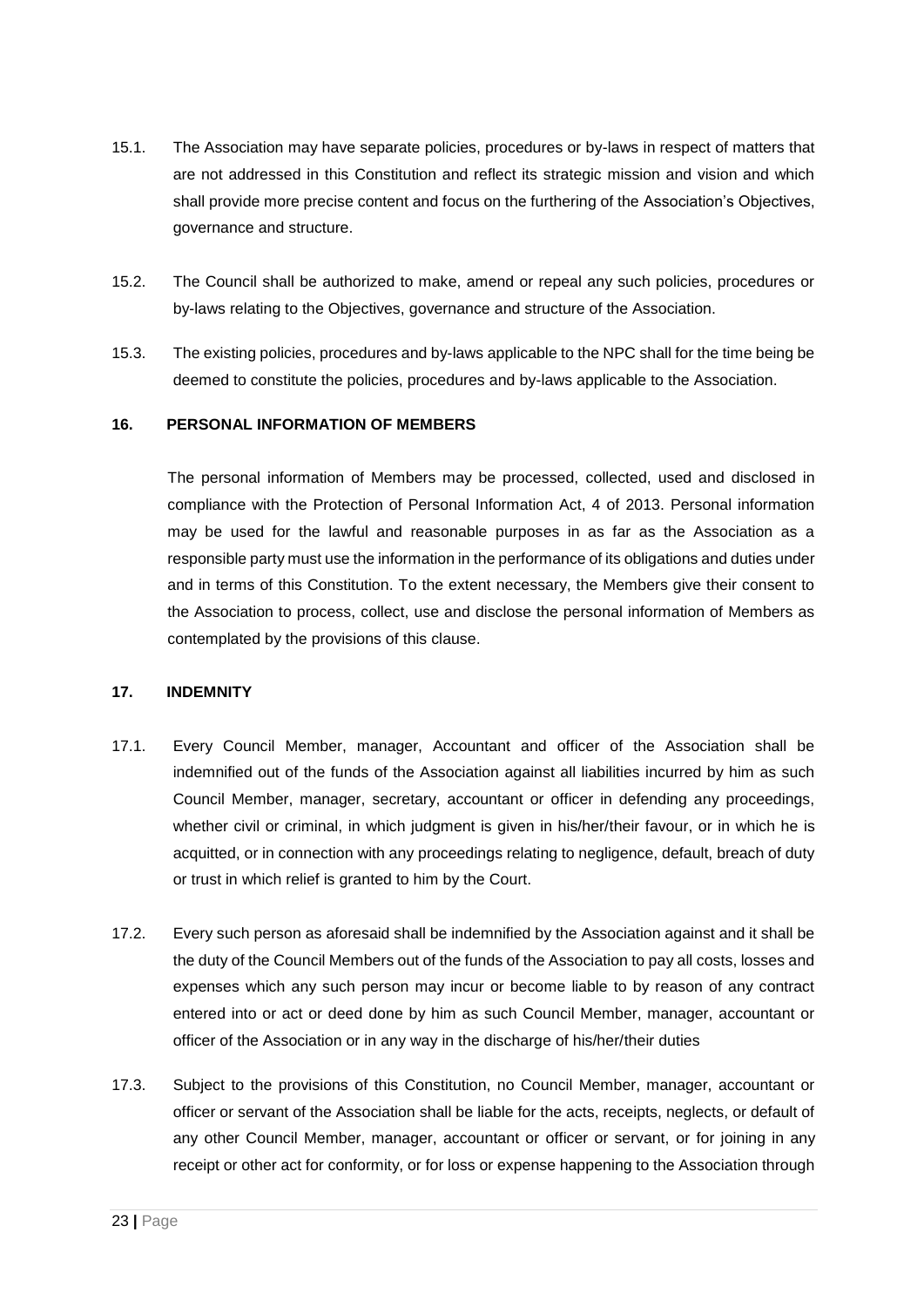- 15.1. The Association may have separate policies, procedures or by-laws in respect of matters that are not addressed in this Constitution and reflect its strategic mission and vision and which shall provide more precise content and focus on the furthering of the Association's Objectives, governance and structure.
- 15.2. The Council shall be authorized to make, amend or repeal any such policies, procedures or by-laws relating to the Objectives, governance and structure of the Association.
- 15.3. The existing policies, procedures and by-laws applicable to the NPC shall for the time being be deemed to constitute the policies, procedures and by-laws applicable to the Association.

#### **16. PERSONAL INFORMATION OF MEMBERS**

The personal information of Members may be processed, collected, used and disclosed in compliance with the Protection of Personal Information Act, 4 of 2013. Personal information may be used for the lawful and reasonable purposes in as far as the Association as a responsible party must use the information in the performance of its obligations and duties under and in terms of this Constitution. To the extent necessary, the Members give their consent to the Association to process, collect, use and disclose the personal information of Members as contemplated by the provisions of this clause.

#### **17. INDEMNITY**

- 17.1. Every Council Member, manager, Accountant and officer of the Association shall be indemnified out of the funds of the Association against all liabilities incurred by him as such Council Member, manager, secretary, accountant or officer in defending any proceedings, whether civil or criminal, in which judgment is given in his/her/their favour, or in which he is acquitted, or in connection with any proceedings relating to negligence, default, breach of duty or trust in which relief is granted to him by the Court.
- 17.2. Every such person as aforesaid shall be indemnified by the Association against and it shall be the duty of the Council Members out of the funds of the Association to pay all costs, losses and expenses which any such person may incur or become liable to by reason of any contract entered into or act or deed done by him as such Council Member, manager, accountant or officer of the Association or in any way in the discharge of his/her/their duties
- 17.3. Subject to the provisions of this Constitution, no Council Member, manager, accountant or officer or servant of the Association shall be liable for the acts, receipts, neglects, or default of any other Council Member, manager, accountant or officer or servant, or for joining in any receipt or other act for conformity, or for loss or expense happening to the Association through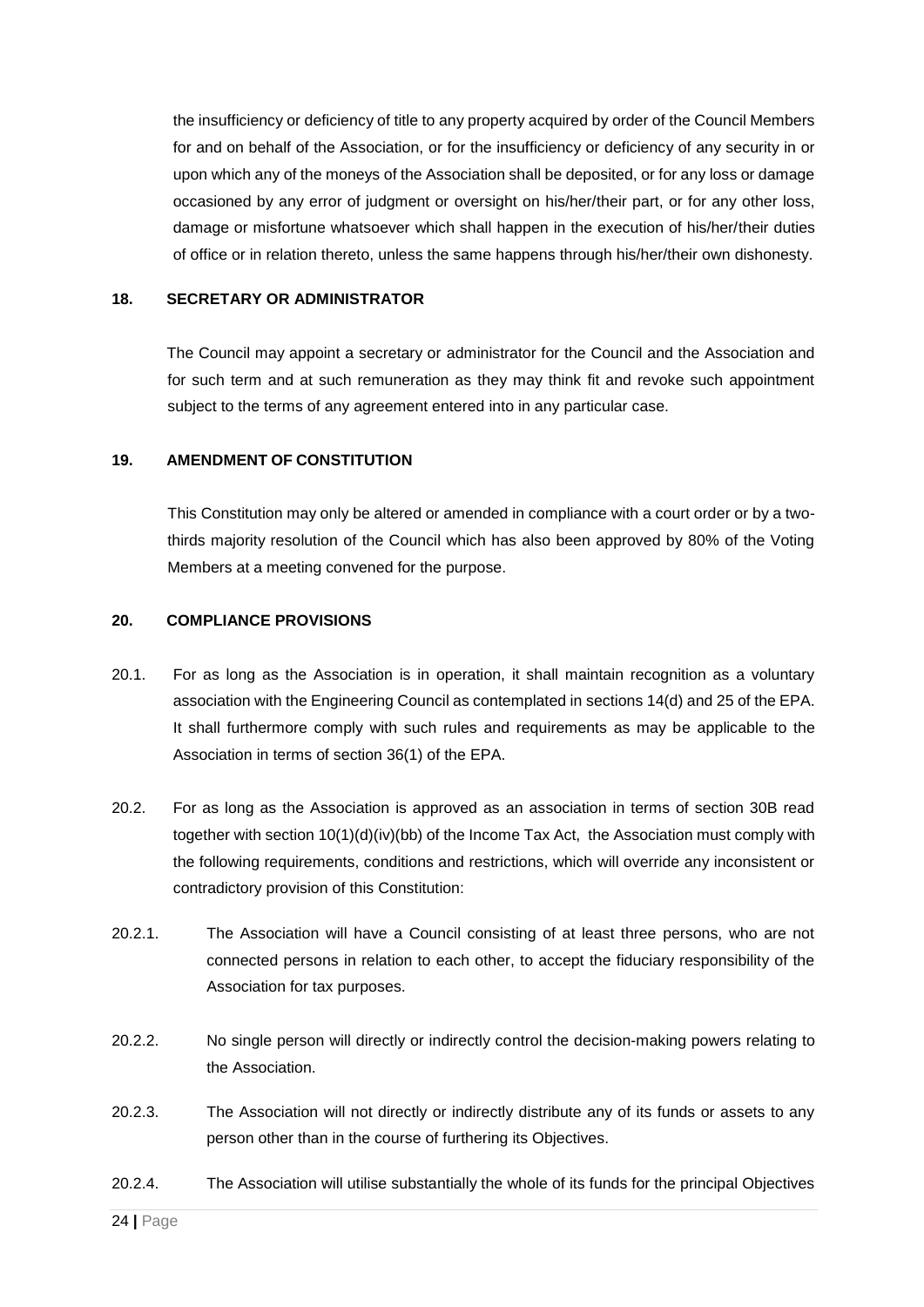the insufficiency or deficiency of title to any property acquired by order of the Council Members for and on behalf of the Association, or for the insufficiency or deficiency of any security in or upon which any of the moneys of the Association shall be deposited, or for any loss or damage occasioned by any error of judgment or oversight on his/her/their part, or for any other loss, damage or misfortune whatsoever which shall happen in the execution of his/her/their duties of office or in relation thereto, unless the same happens through his/her/their own dishonesty.

#### **18. SECRETARY OR ADMINISTRATOR**

The Council may appoint a secretary or administrator for the Council and the Association and for such term and at such remuneration as they may think fit and revoke such appointment subject to the terms of any agreement entered into in any particular case.

#### **19. AMENDMENT OF CONSTITUTION**

This Constitution may only be altered or amended in compliance with a court order or by a twothirds majority resolution of the Council which has also been approved by 80% of the Voting Members at a meeting convened for the purpose.

#### **20. COMPLIANCE PROVISIONS**

- 20.1. For as long as the Association is in operation, it shall maintain recognition as a voluntary association with the Engineering Council as contemplated in sections 14(d) and 25 of the EPA. It shall furthermore comply with such rules and requirements as may be applicable to the Association in terms of section 36(1) of the EPA.
- 20.2. For as long as the Association is approved as an association in terms of section 30B read together with section  $10(1)(d)(iv)(bb)$  of the Income Tax Act, the Association must comply with the following requirements, conditions and restrictions, which will override any inconsistent or contradictory provision of this Constitution:
- 20.2.1. The Association will have a Council consisting of at least three persons, who are not connected persons in relation to each other, to accept the fiduciary responsibility of the Association for tax purposes.
- 20.2.2. No single person will directly or indirectly control the decision-making powers relating to the Association.
- 20.2.3. The Association will not directly or indirectly distribute any of its funds or assets to any person other than in the course of furthering its Objectives.
- 20.2.4. The Association will utilise substantially the whole of its funds for the principal Objectives

24 **|** Page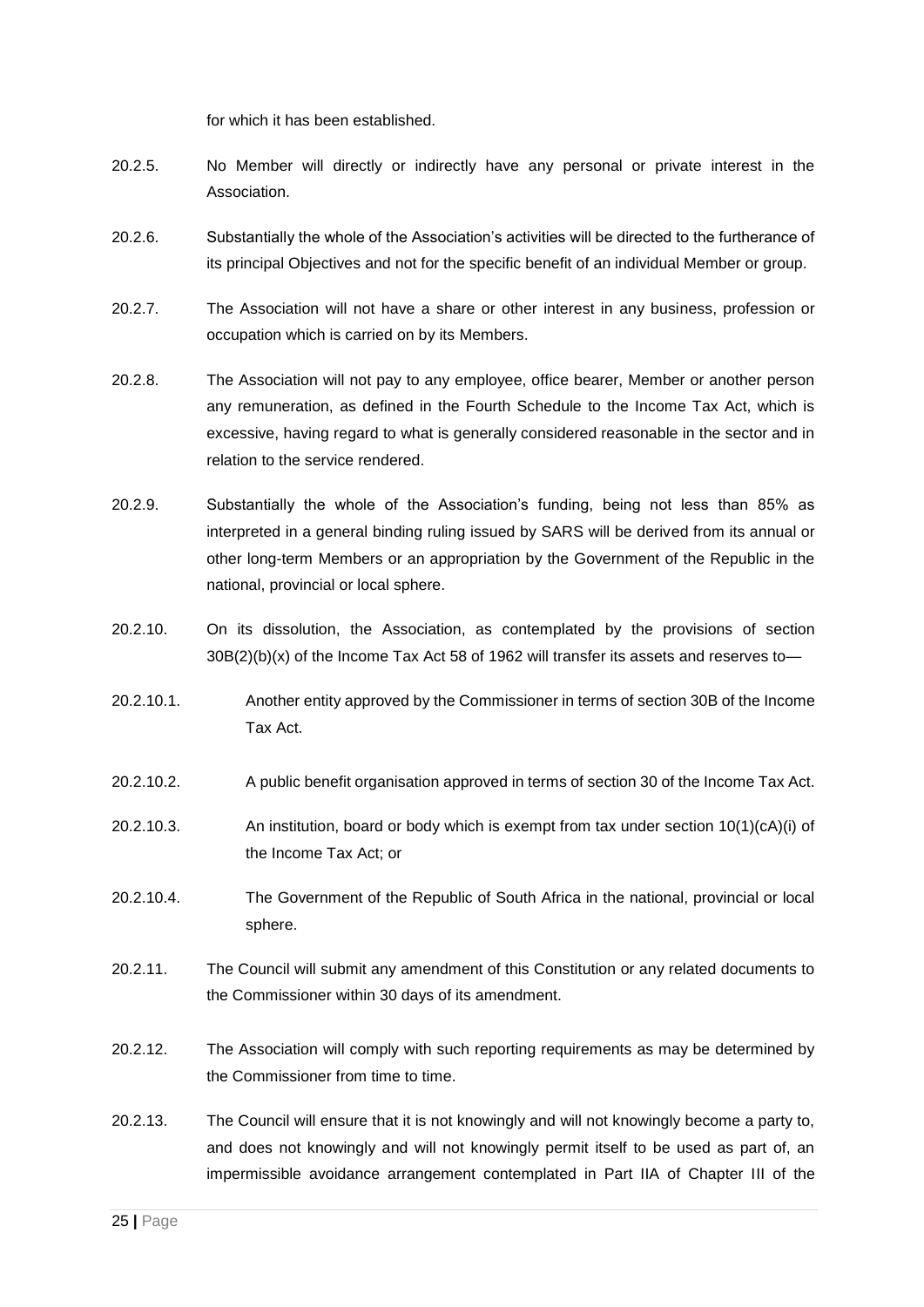for which it has been established.

- 20.2.5. No Member will directly or indirectly have any personal or private interest in the Association.
- 20.2.6. Substantially the whole of the Association's activities will be directed to the furtherance of its principal Objectives and not for the specific benefit of an individual Member or group.
- 20.2.7. The Association will not have a share or other interest in any business, profession or occupation which is carried on by its Members.
- 20.2.8. The Association will not pay to any employee, office bearer, Member or another person any remuneration, as defined in the Fourth Schedule to the Income Tax Act, which is excessive, having regard to what is generally considered reasonable in the sector and in relation to the service rendered.
- 20.2.9. Substantially the whole of the Association's funding, being not less than 85% as interpreted in a general binding ruling issued by SARS will be derived from its annual or other long-term Members or an appropriation by the Government of the Republic in the national, provincial or local sphere.
- 20.2.10. On its dissolution, the Association, as contemplated by the provisions of section  $30B(2)(b)(x)$  of the Income Tax Act 58 of 1962 will transfer its assets and reserves to-
- 20.2.10.1. Another entity approved by the Commissioner in terms of section 30B of the Income Tax Act.
- 20.2.10.2. A public benefit organisation approved in terms of section 30 of the Income Tax Act.
- 20.2.10.3. An institution, board or body which is exempt from tax under section 10(1)(cA)(i) of the Income Tax Act; or
- 20.2.10.4. The Government of the Republic of South Africa in the national, provincial or local sphere.
- 20.2.11. The Council will submit any amendment of this Constitution or any related documents to the Commissioner within 30 days of its amendment.
- 20.2.12. The Association will comply with such reporting requirements as may be determined by the Commissioner from time to time.
- 20.2.13. The Council will ensure that it is not knowingly and will not knowingly become a party to, and does not knowingly and will not knowingly permit itself to be used as part of, an impermissible avoidance arrangement contemplated in Part IIA of Chapter III of the